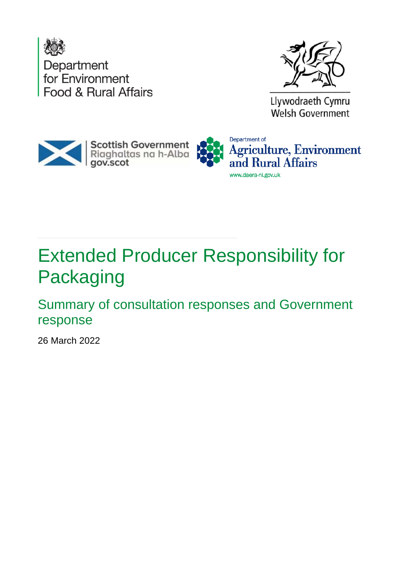



Llywodraeth Cymru Welsh Government



# Extended Producer Responsibility for Packaging

Summary of consultation responses and Government response

26 March 2022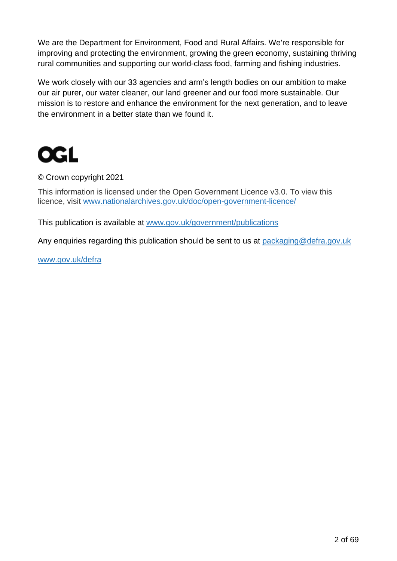We are the Department for Environment, Food and Rural Affairs. We're responsible for improving and protecting the environment, growing the green economy, sustaining thriving rural communities and supporting our world-class food, farming and fishing industries.

We work closely with our 33 agencies and arm's length bodies on our ambition to make our air purer, our water cleaner, our land greener and our food more sustainable. Our mission is to restore and enhance the environment for the next generation, and to leave the environment in a better state than we found it.



#### © Crown copyright 2021

This information is licensed under the Open Government Licence v3.0. To view this licence, visit [www.nationalarchives.gov.uk/doc/open-government-licence/](http://www.nationalarchives.gov.uk/doc/open-government-licence/)

This publication is available at [www.gov.uk/government/publications](http://www.gov.uk/government/publications)

Any enquiries regarding this publication should be sent to us at [packaging@defra.gov.uk](mailto:packaging@defra.gov.uk)

[www.gov.uk/defra](http://www.gov.uk/defra)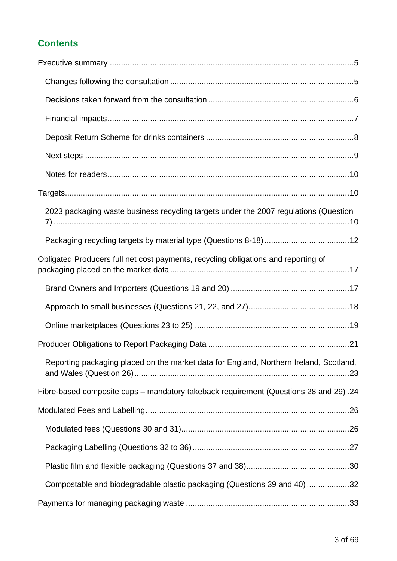#### **Contents**

| 2023 packaging waste business recycling targets under the 2007 regulations (Question   |  |
|----------------------------------------------------------------------------------------|--|
|                                                                                        |  |
| Obligated Producers full net cost payments, recycling obligations and reporting of     |  |
|                                                                                        |  |
|                                                                                        |  |
|                                                                                        |  |
|                                                                                        |  |
| Reporting packaging placed on the market data for England, Northern Ireland, Scotland, |  |
| Fibre-based composite cups – mandatory takeback requirement (Questions 28 and 29).24   |  |
|                                                                                        |  |
|                                                                                        |  |
|                                                                                        |  |
|                                                                                        |  |
| Compostable and biodegradable plastic packaging (Questions 39 and 40)32                |  |
|                                                                                        |  |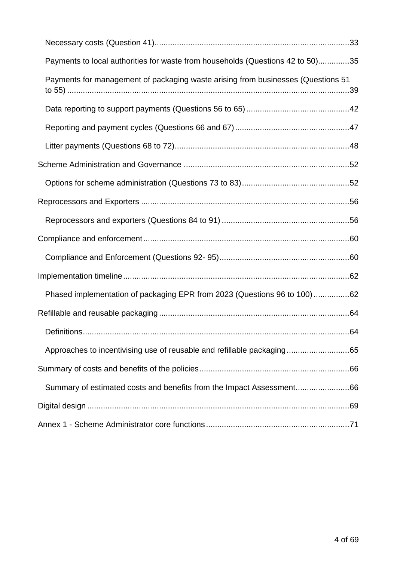| Payments to local authorities for waste from households (Questions 42 to 50)35   |    |
|----------------------------------------------------------------------------------|----|
| Payments for management of packaging waste arising from businesses (Questions 51 |    |
|                                                                                  |    |
|                                                                                  |    |
|                                                                                  |    |
|                                                                                  |    |
|                                                                                  |    |
|                                                                                  |    |
|                                                                                  |    |
|                                                                                  |    |
|                                                                                  |    |
|                                                                                  |    |
| Phased implementation of packaging EPR from 2023 (Questions 96 to 100)62         |    |
|                                                                                  |    |
| Definitions                                                                      | 64 |
| Approaches to incentivising use of reusable and refillable packaging65           |    |
|                                                                                  |    |
| Summary of estimated costs and benefits from the Impact Assessment66             |    |
|                                                                                  |    |
|                                                                                  |    |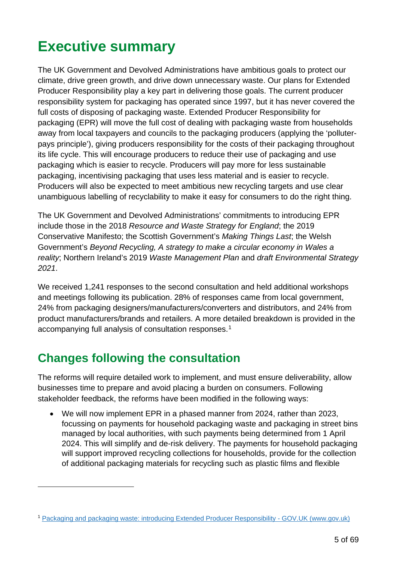# <span id="page-4-0"></span>**Executive summary**

The UK Government and Devolved Administrations have ambitious goals to protect our climate, drive green growth, and drive down unnecessary waste. Our plans for Extended Producer Responsibility play a key part in delivering those goals. The current producer responsibility system for packaging has operated since 1997, but it has never covered the full costs of disposing of packaging waste. Extended Producer Responsibility for packaging (EPR) will move the full cost of dealing with packaging waste from households away from local taxpayers and councils to the packaging producers (applying the 'polluterpays principle'), giving producers responsibility for the costs of their packaging throughout its life cycle. This will encourage producers to reduce their use of packaging and use packaging which is easier to recycle. Producers will pay more for less sustainable packaging, incentivising packaging that uses less material and is easier to recycle. Producers will also be expected to meet ambitious new recycling targets and use clear unambiguous labelling of recyclability to make it easy for consumers to do the right thing.

The UK Government and Devolved Administrations' commitments to introducing EPR include those in the 2018 *Resource and Waste Strategy for England*; the 2019 Conservative Manifesto; the Scottish Government's *Making Things Last*; the Welsh Government's *Beyond Recycling, A strategy to make a circular economy in Wales a reality*; Northern Ireland's 2019 *Waste Management Plan* and *draft Environmental Strategy 2021*.

We received 1,241 responses to the second consultation and held additional workshops and meetings following its publication. 28% of responses came from local government, 24% from packaging designers/manufacturers/converters and distributors, and 24% from product manufacturers/brands and retailers. A more detailed breakdown is provided in the accompanying full analysis of consultation responses.[1](#page-4-2)

### <span id="page-4-1"></span>**Changes following the consultation**

The reforms will require detailed work to implement, and must ensure deliverability, allow businesses time to prepare and avoid placing a burden on consumers. Following stakeholder feedback, the reforms have been modified in the following ways:

• We will now implement EPR in a phased manner from 2024, rather than 2023, focussing on payments for household packaging waste and packaging in street bins managed by local authorities, with such payments being determined from 1 April 2024. This will simplify and de-risk delivery. The payments for household packaging will support improved recycling collections for households, provide for the collection of additional packaging materials for recycling such as plastic films and flexible

<span id="page-4-2"></span><sup>1</sup> [Packaging and packaging waste: introducing Extended Producer Responsibility -](https://www.gov.uk/government/consultations/packaging-and-packaging-waste-introducing-extended-producer-responsibility) GOV.UK (www.gov.uk)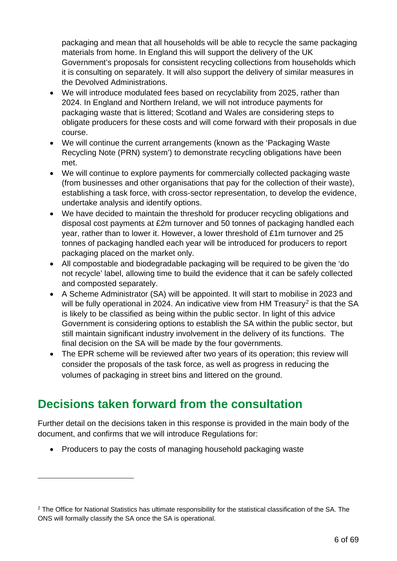packaging and mean that all households will be able to recycle the same packaging materials from home. In England this will support the delivery of the UK Government's proposals for consistent recycling collections from households which it is consulting on separately. It will also support the delivery of similar measures in the Devolved Administrations.

- We will introduce modulated fees based on recyclability from 2025, rather than 2024. In England and Northern Ireland, we will not introduce payments for packaging waste that is littered; Scotland and Wales are considering steps to obligate producers for these costs and will come forward with their proposals in due course.
- We will continue the current arrangements (known as the 'Packaging Waste' Recycling Note (PRN) system') to demonstrate recycling obligations have been met.
- We will continue to explore payments for commercially collected packaging waste (from businesses and other organisations that pay for the collection of their waste), establishing a task force, with cross-sector representation, to develop the evidence, undertake analysis and identify options.
- We have decided to maintain the threshold for producer recycling obligations and disposal cost payments at £2m turnover and 50 tonnes of packaging handled each year, rather than to lower it. However, a lower threshold of £1m turnover and 25 tonnes of packaging handled each year will be introduced for producers to report packaging placed on the market only.
- All compostable and biodegradable packaging will be required to be given the 'do not recycle' label, allowing time to build the evidence that it can be safely collected and composted separately.
- A Scheme Administrator (SA) will be appointed. It will start to mobilise in 2023 and will be fully operational in [2](#page-5-1)024. An indicative view from HM Treasury<sup>2</sup> is that the SA is likely to be classified as being within the public sector. In light of this advice Government is considering options to establish the SA within the public sector, but still maintain significant industry involvement in the delivery of its functions. The final decision on the SA will be made by the four governments.
- The EPR scheme will be reviewed after two years of its operation; this review will consider the proposals of the task force, as well as progress in reducing the volumes of packaging in street bins and littered on the ground.

### <span id="page-5-0"></span>**Decisions taken forward from the consultation**

Further detail on the decisions taken in this response is provided in the main body of the document, and confirms that we will introduce Regulations for:

• Producers to pay the costs of managing household packaging waste

<span id="page-5-1"></span><sup>&</sup>lt;sup>2</sup> The Office for National Statistics has ultimate responsibility for the statistical classification of the SA. The ONS will formally classify the SA once the SA is operational.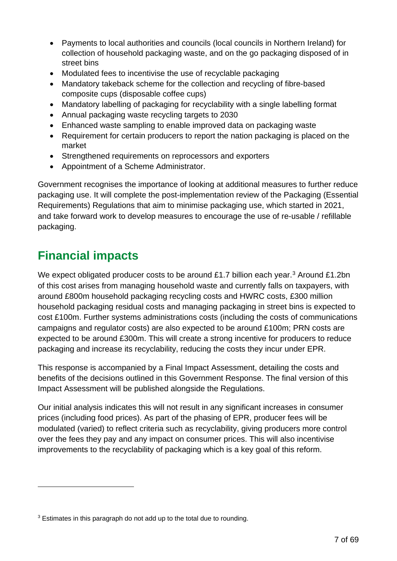- Payments to local authorities and councils (local councils in Northern Ireland) for collection of household packaging waste, and on the go packaging disposed of in street bins
- Modulated fees to incentivise the use of recyclable packaging
- Mandatory takeback scheme for the collection and recycling of fibre-based composite cups (disposable coffee cups)
- Mandatory labelling of packaging for recyclability with a single labelling format
- Annual packaging waste recycling targets to 2030
- Enhanced waste sampling to enable improved data on packaging waste
- Requirement for certain producers to report the nation packaging is placed on the market
- Strengthened requirements on reprocessors and exporters
- Appointment of a Scheme Administrator.

Government recognises the importance of looking at additional measures to further reduce packaging use. It will complete the post-implementation review of the Packaging (Essential Requirements) Regulations that aim to minimise packaging use, which started in 2021, and take forward work to develop measures to encourage the use of re-usable / refillable packaging.

### <span id="page-6-0"></span>**Financial impacts**

We expect obligated producer costs to be around £1.7 billion each year.<sup>[3](#page-6-1)</sup> Around £1.2bn of this cost arises from managing household waste and currently falls on taxpayers, with around £800m household packaging recycling costs and HWRC costs, £300 million household packaging residual costs and managing packaging in street bins is expected to cost £100m. Further systems administrations costs (including the costs of communications campaigns and regulator costs) are also expected to be around £100m; PRN costs are expected to be around £300m. This will create a strong incentive for producers to reduce packaging and increase its recyclability, reducing the costs they incur under EPR.

This response is accompanied by a Final Impact Assessment, detailing the costs and benefits of the decisions outlined in this Government Response. The final version of this Impact Assessment will be published alongside the Regulations.

Our initial analysis indicates this will not result in any significant increases in consumer prices (including food prices). As part of the phasing of EPR, producer fees will be modulated (varied) to reflect criteria such as recyclability, giving producers more control over the fees they pay and any impact on consumer prices. This will also incentivise improvements to the recyclability of packaging which is a key goal of this reform.

<span id="page-6-1"></span><sup>&</sup>lt;sup>3</sup> Estimates in this paragraph do not add up to the total due to rounding.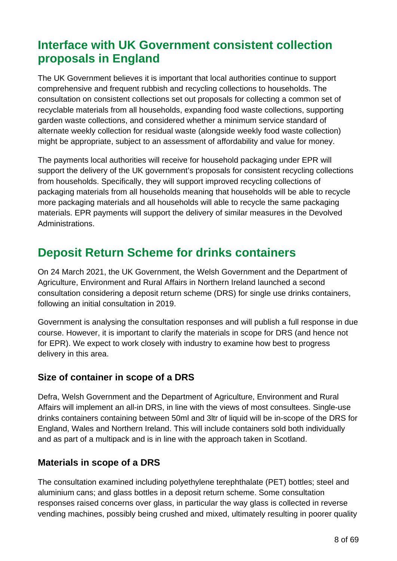### <span id="page-7-0"></span>**Interface with UK Government consistent collection proposals in England**

The UK Government believes it is important that local authorities continue to support comprehensive and frequent rubbish and recycling collections to households. The consultation on consistent collections set out proposals for collecting a common set of recyclable materials from all households, expanding food waste collections, supporting garden waste collections, and considered whether a minimum service standard of alternate weekly collection for residual waste (alongside weekly food waste collection) might be appropriate, subject to an assessment of affordability and value for money.

The payments local authorities will receive for household packaging under EPR will support the delivery of the UK government's proposals for consistent recycling collections from households. Specifically, they will support improved recycling collections of packaging materials from all households meaning that households will be able to recycle more packaging materials and all households will able to recycle the same packaging materials. EPR payments will support the delivery of similar measures in the Devolved Administrations.

### **Deposit Return Scheme for drinks containers**

On 24 March 2021, the UK Government, the Welsh Government and the Department of Agriculture, Environment and Rural Affairs in Northern Ireland launched a second consultation considering a deposit return scheme (DRS) for single use drinks containers, following an initial consultation in 2019.

Government is analysing the consultation responses and will publish a full response in due course. However, it is important to clarify the materials in scope for DRS (and hence not for EPR). We expect to work closely with industry to examine how best to progress delivery in this area.

#### **Size of container in scope of a DRS**

Defra, Welsh Government and the Department of Agriculture, Environment and Rural Affairs will implement an all-in DRS, in line with the views of most consultees. Single-use drinks containers containing between 50ml and 3ltr of liquid will be in-scope of the DRS for England, Wales and Northern Ireland. This will include containers sold both individually and as part of a multipack and is in line with the approach taken in Scotland.

#### **Materials in scope of a DRS**

The consultation examined including polyethylene terephthalate (PET) bottles; steel and aluminium cans; and glass bottles in a deposit return scheme. Some consultation responses raised concerns over glass, in particular the way glass is collected in reverse vending machines, possibly being crushed and mixed, ultimately resulting in poorer quality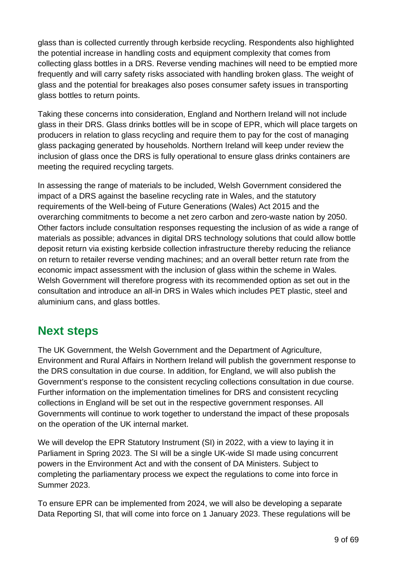glass than is collected currently through kerbside recycling. Respondents also highlighted the potential increase in handling costs and equipment complexity that comes from collecting glass bottles in a DRS. Reverse vending machines will need to be emptied more frequently and will carry safety risks associated with handling broken glass. The weight of glass and the potential for breakages also poses consumer safety issues in transporting glass bottles to return points.

Taking these concerns into consideration, England and Northern Ireland will not include glass in their DRS. Glass drinks bottles will be in scope of EPR, which will place targets on producers in relation to glass recycling and require them to pay for the cost of managing glass packaging generated by households. Northern Ireland will keep under review the inclusion of glass once the DRS is fully operational to ensure glass drinks containers are meeting the required recycling targets.

In assessing the range of materials to be included, Welsh Government considered the impact of a DRS against the baseline recycling rate in Wales, and the statutory requirements of the Well-being of Future Generations (Wales) Act 2015 and the overarching commitments to become a net zero carbon and zero-waste nation by 2050. Other factors include consultation responses requesting the inclusion of as wide a range of materials as possible; advances in digital DRS technology solutions that could allow bottle deposit return via existing kerbside collection infrastructure thereby reducing the reliance on return to retailer reverse vending machines; and an overall better return rate from the economic impact assessment with the inclusion of glass within the scheme in Wales*.*  Welsh Government will therefore progress with its recommended option as set out in the consultation and introduce an all-in DRS in Wales which includes PET plastic, steel and aluminium cans, and glass bottles.

### <span id="page-8-0"></span>**Next steps**

The UK Government, the Welsh Government and the Department of Agriculture, Environment and Rural Affairs in Northern Ireland will publish the government response to the DRS consultation in due course. In addition, for England, we will also publish the Government's response to the consistent recycling collections consultation in due course. Further information on the implementation timelines for DRS and consistent recycling collections in England will be set out in the respective government responses. All Governments will continue to work together to understand the impact of these proposals on the operation of the UK internal market.

We will develop the EPR Statutory Instrument (SI) in 2022, with a view to laying it in Parliament in Spring 2023. The SI will be a single UK-wide SI made using concurrent powers in the Environment Act and with the consent of DA Ministers. Subject to completing the parliamentary process we expect the regulations to come into force in Summer 2023.

To ensure EPR can be implemented from 2024, we will also be developing a separate Data Reporting SI, that will come into force on 1 January 2023. These regulations will be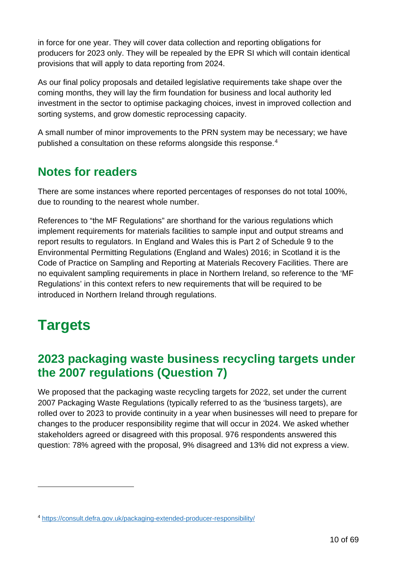in force for one year. They will cover data collection and reporting obligations for producers for 2023 only. They will be repealed by the EPR SI which will contain identical provisions that will apply to data reporting from 2024.

As our final policy proposals and detailed legislative requirements take shape over the coming months, they will lay the firm foundation for business and local authority led investment in the sector to optimise packaging choices, invest in improved collection and sorting systems, and grow domestic reprocessing capacity.

A small number of minor improvements to the PRN system may be necessary; we have published a consultation on these reforms alongside this response. [4](#page-9-3)

### <span id="page-9-0"></span>**Notes for readers**

There are some instances where reported percentages of responses do not total 100%, due to rounding to the nearest whole number.

References to "the MF Regulations" are shorthand for the various regulations which implement requirements for materials facilities to sample input and output streams and report results to regulators. In England and Wales this is Part 2 of Schedule 9 to the Environmental Permitting Regulations (England and Wales) 2016; in Scotland it is the Code of Practice on Sampling and Reporting at Materials Recovery Facilities. There are no equivalent sampling requirements in place in Northern Ireland, so reference to the 'MF Regulations' in this context refers to new requirements that will be required to be introduced in Northern Ireland through regulations.

# <span id="page-9-1"></span>**Targets**

### <span id="page-9-2"></span>**2023 packaging waste business recycling targets under the 2007 regulations (Question 7)**

We proposed that the packaging waste recycling targets for 2022, set under the current 2007 Packaging Waste Regulations (typically referred to as the 'business targets), are rolled over to 2023 to provide continuity in a year when businesses will need to prepare for changes to the producer responsibility regime that will occur in 2024. We asked whether stakeholders agreed or disagreed with this proposal. 976 respondents answered this question: 78% agreed with the proposal, 9% disagreed and 13% did not express a view.

<span id="page-9-3"></span><sup>4</sup> <https://consult.defra.gov.uk/packaging-extended-producer-responsibility/>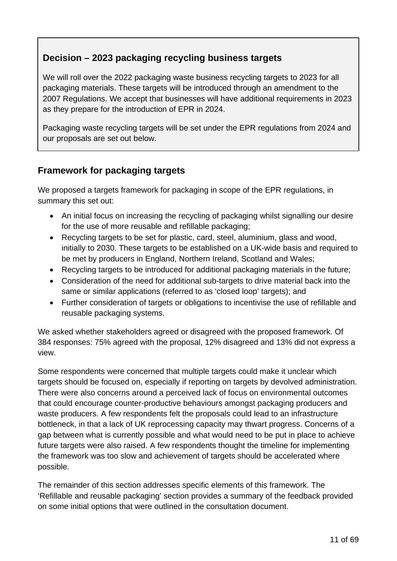#### **Decision – 2023 packaging recycling business targets**

We will roll over the 2022 packaging waste business recycling targets to 2023 for all packaging materials. These targets will be introduced through an amendment to the 2007 Regulations. We accept that businesses will have additional requirements in 2023 as they prepare for the introduction of EPR in 2024.

Packaging waste recycling targets will be set under the EPR regulations from 2024 and our proposals are set out below.

#### **Framework for packaging targets**

We proposed a targets framework for packaging in scope of the EPR regulations, in summary this set out:

- An initial focus on increasing the recycling of packaging whilst signalling our desire for the use of more reusable and refillable packaging;
- Recycling targets to be set for plastic, card, steel, aluminium, glass and wood, initially to 2030. These targets to be established on a UK-wide basis and required to be met by producers in England, Northern Ireland, Scotland and Wales;
- Recycling targets to be introduced for additional packaging materials in the future;
- Consideration of the need for additional sub-targets to drive material back into the same or similar applications (referred to as 'closed loop' targets); and
- Further consideration of targets or obligations to incentivise the use of refillable and reusable packaging systems.

We asked whether stakeholders agreed or disagreed with the proposed framework. Of 384 responses: 75% agreed with the proposal, 12% disagreed and 13% did not express a view.

Some respondents were concerned that multiple targets could make it unclear which targets should be focused on, especially if reporting on targets by devolved administration. There were also concerns around a perceived lack of focus on environmental outcomes that could encourage counter-productive behaviours amongst packaging producers and waste producers. A few respondents felt the proposals could lead to an infrastructure bottleneck, in that a lack of UK reprocessing capacity may thwart progress. Concerns of a gap between what is currently possible and what would need to be put in place to achieve future targets were also raised. A few respondents thought the timeline for implementing the framework was too slow and achievement of targets should be accelerated where possible.

The remainder of this section addresses specific elements of this framework. The 'Refillable and reusable packaging' section provides a summary of the feedback provided on some initial options that were outlined in the consultation document.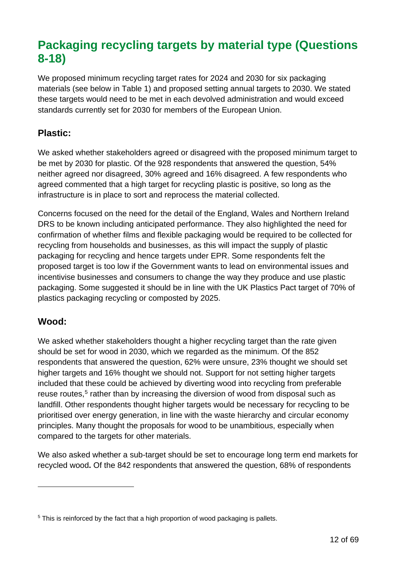### <span id="page-11-0"></span>**Packaging recycling targets by material type (Questions 8-18)**

We proposed minimum recycling target rates for 2024 and 2030 for six packaging materials (see below in Table 1) and proposed setting annual targets to 2030. We stated these targets would need to be met in each devolved administration and would exceed standards currently set for 2030 for members of the European Union.

#### **Plastic:**

We asked whether stakeholders agreed or disagreed with the proposed minimum target to be met by 2030 for plastic. Of the 928 respondents that answered the question, 54% neither agreed nor disagreed, 30% agreed and 16% disagreed. A few respondents who agreed commented that a high target for recycling plastic is positive, so long as the infrastructure is in place to sort and reprocess the material collected.

Concerns focused on the need for the detail of the England, Wales and Northern Ireland DRS to be known including anticipated performance. They also highlighted the need for confirmation of whether films and flexible packaging would be required to be collected for recycling from households and businesses, as this will impact the supply of plastic packaging for recycling and hence targets under EPR. Some respondents felt the proposed target is too low if the Government wants to lead on environmental issues and incentivise businesses and consumers to change the way they produce and use plastic packaging. Some suggested it should be in line with the UK Plastics Pact target of 70% of plastics packaging recycling or composted by 2025.

#### **Wood:**

We asked whether stakeholders thought a higher recycling target than the rate given should be set for wood in 2030, which we regarded as the minimum. Of the 852 respondents that answered the question, 62% were unsure, 23% thought we should set higher targets and 16% thought we should not. Support for not setting higher targets included that these could be achieved by diverting wood into recycling from preferable reuse routes, [5](#page-11-1) rather than by increasing the diversion of wood from disposal such as landfill. Other respondents thought higher targets would be necessary for recycling to be prioritised over energy generation, in line with the waste hierarchy and circular economy principles. Many thought the proposals for wood to be unambitious, especially when compared to the targets for other materials.

We also asked whether a sub-target should be set to encourage long term end markets for recycled wood**.** Of the 842 respondents that answered the question, 68% of respondents

<span id="page-11-1"></span><sup>&</sup>lt;sup>5</sup> This is reinforced by the fact that a high proportion of wood packaging is pallets.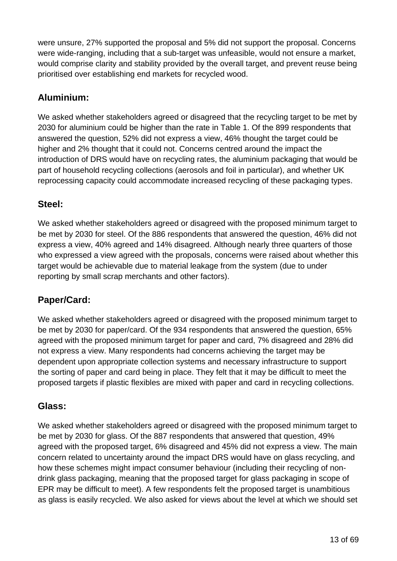were unsure, 27% supported the proposal and 5% did not support the proposal. Concerns were wide-ranging, including that a sub-target was unfeasible, would not ensure a market, would comprise clarity and stability provided by the overall target, and prevent reuse being prioritised over establishing end markets for recycled wood.

#### **Aluminium:**

We asked whether stakeholders agreed or disagreed that the recycling target to be met by 2030 for aluminium could be higher than the rate in Table 1. Of the 899 respondents that answered the question, 52% did not express a view, 46% thought the target could be higher and 2% thought that it could not. Concerns centred around the impact the introduction of DRS would have on recycling rates, the aluminium packaging that would be part of household recycling collections (aerosols and foil in particular), and whether UK reprocessing capacity could accommodate increased recycling of these packaging types.

#### **Steel:**

We asked whether stakeholders agreed or disagreed with the proposed minimum target to be met by 2030 for steel. Of the 886 respondents that answered the question, 46% did not express a view, 40% agreed and 14% disagreed. Although nearly three quarters of those who expressed a view agreed with the proposals, concerns were raised about whether this target would be achievable due to material leakage from the system (due to under reporting by small scrap merchants and other factors).

#### **Paper/Card:**

We asked whether stakeholders agreed or disagreed with the proposed minimum target to be met by 2030 for paper/card. Of the 934 respondents that answered the question, 65% agreed with the proposed minimum target for paper and card, 7% disagreed and 28% did not express a view. Many respondents had concerns achieving the target may be dependent upon appropriate collection systems and necessary infrastructure to support the sorting of paper and card being in place. They felt that it may be difficult to meet the proposed targets if plastic flexibles are mixed with paper and card in recycling collections.

#### **Glass:**

We asked whether stakeholders agreed or disagreed with the proposed minimum target to be met by 2030 for glass. Of the 887 respondents that answered that question, 49% agreed with the proposed target, 6% disagreed and 45% did not express a view. The main concern related to uncertainty around the impact DRS would have on glass recycling, and how these schemes might impact consumer behaviour (including their recycling of nondrink glass packaging, meaning that the proposed target for glass packaging in scope of EPR may be difficult to meet). A few respondents felt the proposed target is unambitious as glass is easily recycled. We also asked for views about the level at which we should set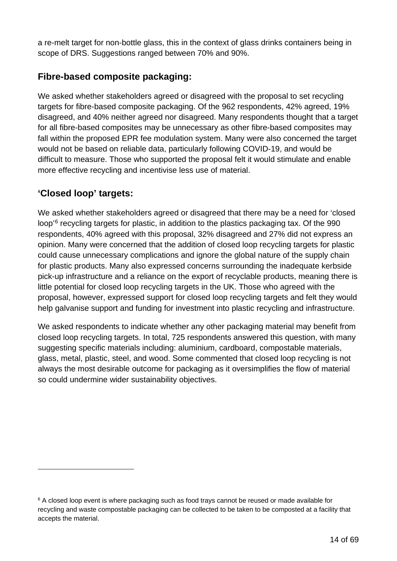a re-melt target for non-bottle glass, this in the context of glass drinks containers being in scope of DRS. Suggestions ranged between 70% and 90%.

#### **Fibre-based composite packaging:**

We asked whether stakeholders agreed or disagreed with the proposal to set recycling targets for fibre-based composite packaging. Of the 962 respondents, 42% agreed, 19% disagreed, and 40% neither agreed nor disagreed. Many respondents thought that a target for all fibre-based composites may be unnecessary as other fibre-based composites may fall within the proposed EPR fee modulation system. Many were also concerned the target would not be based on reliable data, particularly following COVID-19, and would be difficult to measure. Those who supported the proposal felt it would stimulate and enable more effective recycling and incentivise less use of material.

#### **'Closed loop' targets:**

We asked whether stakeholders agreed or disagreed that there may be a need for 'closed loop'<sup>[6](#page-13-0)</sup> recycling targets for plastic, in addition to the plastics packaging tax. Of the 990 respondents, 40% agreed with this proposal, 32% disagreed and 27% did not express an opinion. Many were concerned that the addition of closed loop recycling targets for plastic could cause unnecessary complications and ignore the global nature of the supply chain for plastic products. Many also expressed concerns surrounding the inadequate kerbside pick-up infrastructure and a reliance on the export of recyclable products, meaning there is little potential for closed loop recycling targets in the UK. Those who agreed with the proposal, however, expressed support for closed loop recycling targets and felt they would help galvanise support and funding for investment into plastic recycling and infrastructure.

We asked respondents to indicate whether any other packaging material may benefit from closed loop recycling targets. In total, 725 respondents answered this question, with many suggesting specific materials including: aluminium, cardboard, compostable materials, glass, metal, plastic, steel, and wood. Some commented that closed loop recycling is not always the most desirable outcome for packaging as it oversimplifies the flow of material so could undermine wider sustainability objectives.

<span id="page-13-0"></span> $6$  A closed loop event is where packaging such as food trays cannot be reused or made available for recycling and waste compostable packaging can be collected to be taken to be composted at a facility that accepts the material.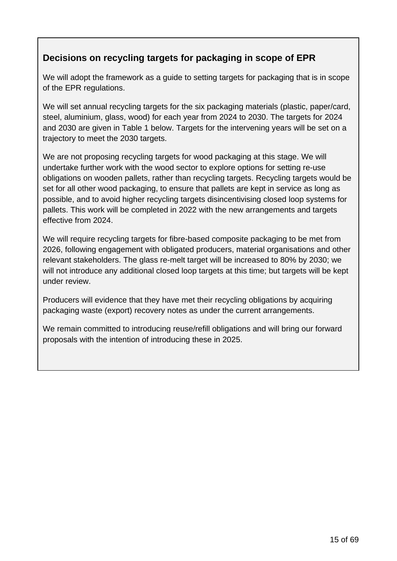#### **Decisions on recycling targets for packaging in scope of EPR**

We will adopt the framework as a guide to setting targets for packaging that is in scope of the EPR regulations.

We will set annual recycling targets for the six packaging materials (plastic, paper/card, steel, aluminium, glass, wood) for each year from 2024 to 2030. The targets for 2024 and 2030 are given in Table 1 below. Targets for the intervening years will be set on a trajectory to meet the 2030 targets.

We are not proposing recycling targets for wood packaging at this stage. We will undertake further work with the wood sector to explore options for setting re-use obligations on wooden pallets, rather than recycling targets. Recycling targets would be set for all other wood packaging, to ensure that pallets are kept in service as long as possible, and to avoid higher recycling targets disincentivising closed loop systems for pallets. This work will be completed in 2022 with the new arrangements and targets effective from 2024.

We will require recycling targets for fibre-based composite packaging to be met from 2026, following engagement with obligated producers, material organisations and other relevant stakeholders. The glass re-melt target will be increased to 80% by 2030; we will not introduce any additional closed loop targets at this time; but targets will be kept under review.

Producers will evidence that they have met their recycling obligations by acquiring packaging waste (export) recovery notes as under the current arrangements.

We remain committed to introducing reuse/refill obligations and will bring our forward proposals with the intention of introducing these in 2025.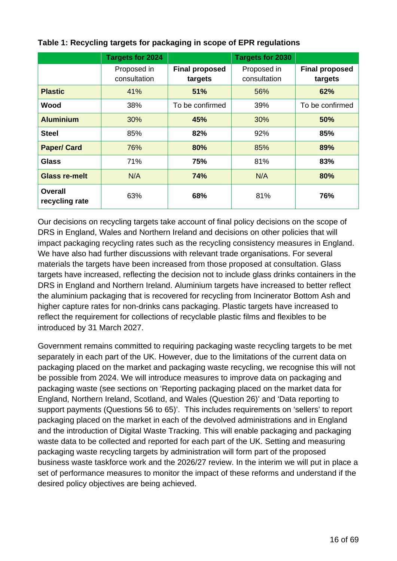|                                  | Targets for 2024            |                                                                 | <b>Targets for 2030</b> |                                  |
|----------------------------------|-----------------------------|-----------------------------------------------------------------|-------------------------|----------------------------------|
|                                  | Proposed in<br>consultation | Proposed in<br><b>Final proposed</b><br>consultation<br>targets |                         | <b>Final proposed</b><br>targets |
| <b>Plastic</b>                   | 41%                         | 51%                                                             | 56%                     | 62%                              |
| Wood                             | 38%                         | To be confirmed                                                 | 39%                     | To be confirmed                  |
| <b>Aluminium</b>                 | 30%                         | 45%                                                             | 30%                     | 50%                              |
| <b>Steel</b>                     | 85%                         | 82%                                                             | 92%                     | 85%                              |
| <b>Paper/ Card</b>               | 76%                         | 80%                                                             | 85%                     | 89%                              |
| Glass                            | 71%                         | 75%                                                             | 81%                     | 83%                              |
| <b>Glass re-melt</b>             | N/A                         | 74%                                                             | N/A                     | 80%                              |
| <b>Overall</b><br>recycling rate | 63%                         | 68%                                                             | 81%                     | 76%                              |

#### **Table 1: Recycling targets for packaging in scope of EPR regulations**

Our decisions on recycling targets take account of final policy decisions on the scope of DRS in England, Wales and Northern Ireland and decisions on other policies that will impact packaging recycling rates such as the recycling consistency measures in England. We have also had further discussions with relevant trade organisations. For several materials the targets have been increased from those proposed at consultation. Glass targets have increased, reflecting the decision not to include glass drinks containers in the DRS in England and Northern Ireland. Aluminium targets have increased to better reflect the aluminium packaging that is recovered for recycling from Incinerator Bottom Ash and higher capture rates for non-drinks cans packaging. Plastic targets have increased to reflect the requirement for collections of recyclable plastic films and flexibles to be introduced by 31 March 2027.

Government remains committed to requiring packaging waste recycling targets to be met separately in each part of the UK. However, due to the limitations of the current data on packaging placed on the market and packaging waste recycling, we recognise this will not be possible from 2024. We will introduce measures to improve data on packaging and packaging waste (see sections on ['Reporting packaging placed on the market data for](#page-22-0)  [England, Northern Ireland, Scotland, and Wales \(Question 26\)'](#page-22-0) and ['Data reporting to](#page-41-0)  support payments [\(Questions 56 to 65\)'](#page-41-0). This includes requirements on 'sellers' to report packaging placed on the market in each of the devolved administrations and in England and the introduction of Digital Waste Tracking. This will enable packaging and packaging waste data to be collected and reported for each part of the UK. Setting and measuring packaging waste recycling targets by administration will form part of the proposed business waste taskforce work and the 2026/27 review. In the interim we will put in place a set of performance measures to monitor the impact of these reforms and understand if the desired policy objectives are being achieved.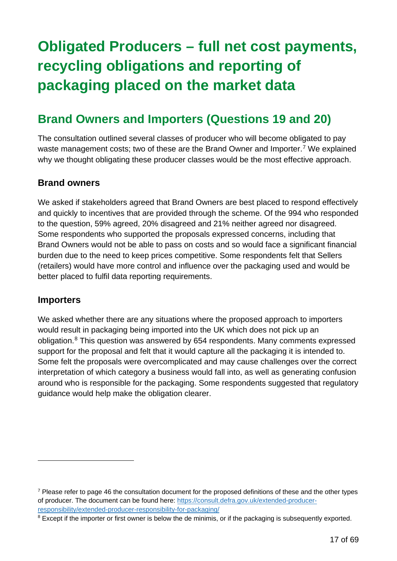# <span id="page-16-0"></span>**Obligated Producers – full net cost payments, recycling obligations and reporting of packaging placed on the market data**

### <span id="page-16-1"></span>**Brand Owners and Importers (Questions 19 and 20)**

The consultation outlined several classes of producer who will become obligated to pay waste management costs; two of these are the Brand Owner and Importer.<sup>[7](#page-16-2)</sup> We explained why we thought obligating these producer classes would be the most effective approach.

#### **Brand owners**

We asked if stakeholders agreed that Brand Owners are best placed to respond effectively and quickly to incentives that are provided through the scheme. Of the 994 who responded to the question, 59% agreed, 20% disagreed and 21% neither agreed nor disagreed. Some respondents who supported the proposals expressed concerns, including that Brand Owners would not be able to pass on costs and so would face a significant financial burden due to the need to keep prices competitive. Some respondents felt that Sellers (retailers) would have more control and influence over the packaging used and would be better placed to fulfil data reporting requirements.

#### **Importers**

We asked whether there are any situations where the proposed approach to importers would result in packaging being imported into the UK which does not pick up an obligation.<sup>[8](#page-16-3)</sup> This question was answered by 654 respondents. Many comments expressed support for the proposal and felt that it would capture all the packaging it is intended to. Some felt the proposals were overcomplicated and may cause challenges over the correct interpretation of which category a business would fall into, as well as generating confusion around who is responsible for the packaging. Some respondents suggested that regulatory guidance would help make the obligation clearer.

<span id="page-16-2"></span> $<sup>7</sup>$  Please refer to page 46 the consultation document for the proposed definitions of these and the other types</sup> of producer. The document can be found here: [https://consult.defra.gov.uk/extended-producer](https://consult.defra.gov.uk/extended-producer-responsibility/extended-producer-responsibility-for-packaging/)[responsibility/extended-producer-responsibility-for-packaging/](https://consult.defra.gov.uk/extended-producer-responsibility/extended-producer-responsibility-for-packaging/)

<span id="page-16-3"></span><sup>&</sup>lt;sup>8</sup> Except if the importer or first owner is below the de minimis, or if the packaging is subsequently exported.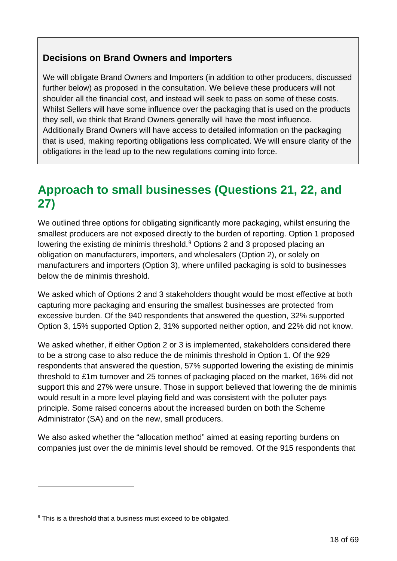#### **Decisions on Brand Owners and Importers**

We will obligate Brand Owners and Importers (in addition to other producers, discussed further below) as proposed in the consultation. We believe these producers will not shoulder all the financial cost, and instead will seek to pass on some of these costs. Whilst Sellers will have some influence over the packaging that is used on the products they sell, we think that Brand Owners generally will have the most influence. Additionally Brand Owners will have access to detailed information on the packaging that is used, making reporting obligations less complicated. We will ensure clarity of the obligations in the lead up to the new regulations coming into force.

### <span id="page-17-0"></span>**Approach to small businesses (Questions 21, 22, and 27)**

We outlined three options for obligating significantly more packaging, whilst ensuring the smallest producers are not exposed directly to the burden of reporting. Option 1 proposed lowering the existing de minimis threshold.<sup>[9](#page-17-1)</sup> Options 2 and 3 proposed placing an obligation on manufacturers, importers, and wholesalers (Option 2), or solely on manufacturers and importers (Option 3), where unfilled packaging is sold to businesses below the de minimis threshold.

We asked which of Options 2 and 3 stakeholders thought would be most effective at both capturing more packaging and ensuring the smallest businesses are protected from excessive burden. Of the 940 respondents that answered the question, 32% supported Option 3, 15% supported Option 2, 31% supported neither option, and 22% did not know.

We asked whether, if either Option 2 or 3 is implemented, stakeholders considered there to be a strong case to also reduce the de minimis threshold in Option 1. Of the 929 respondents that answered the question, 57% supported lowering the existing de minimis threshold to £1m turnover and 25 tonnes of packaging placed on the market, 16% did not support this and 27% were unsure. Those in support believed that lowering the de minimis would result in a more level playing field and was consistent with the polluter pays principle. Some raised concerns about the increased burden on both the Scheme Administrator (SA) and on the new, small producers.

We also asked whether the "allocation method" aimed at easing reporting burdens on companies just over the de minimis level should be removed. Of the 915 respondents that

<span id="page-17-1"></span><sup>&</sup>lt;sup>9</sup> This is a threshold that a business must exceed to be obligated.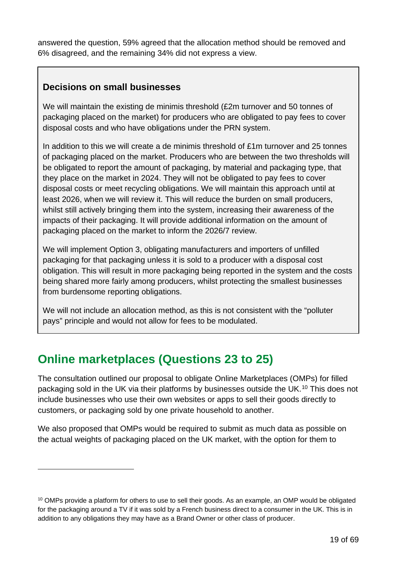answered the question, 59% agreed that the allocation method should be removed and 6% disagreed, and the remaining 34% did not express a view.

#### **Decisions on small businesses**

We will maintain the existing de minimis threshold (£2m turnover and 50 tonnes of packaging placed on the market) for producers who are obligated to pay fees to cover disposal costs and who have obligations under the PRN system.

In addition to this we will create a de minimis threshold of £1m turnover and 25 tonnes of packaging placed on the market. Producers who are between the two thresholds will be obligated to report the amount of packaging, by material and packaging type, that they place on the market in 2024. They will not be obligated to pay fees to cover disposal costs or meet recycling obligations. We will maintain this approach until at least 2026, when we will review it. This will reduce the burden on small producers, whilst still actively bringing them into the system, increasing their awareness of the impacts of their packaging. It will provide additional information on the amount of packaging placed on the market to inform the 2026/7 review.

We will implement Option 3, obligating manufacturers and importers of unfilled packaging for that packaging unless it is sold to a producer with a disposal cost obligation. This will result in more packaging being reported in the system and the costs being shared more fairly among producers, whilst protecting the smallest businesses from burdensome reporting obligations.

We will not include an allocation method, as this is not consistent with the "polluter pays" principle and would not allow for fees to be modulated.

### <span id="page-18-0"></span>**Online marketplaces (Questions 23 to 25)**

The consultation outlined our proposal to obligate Online Marketplaces (OMPs) for filled packaging sold in the UK via their platforms by businesses outside the UK. [10](#page-18-1) This does not include businesses who use their own websites or apps to sell their goods directly to customers, or packaging sold by one private household to another.

We also proposed that OMPs would be required to submit as much data as possible on the actual weights of packaging placed on the UK market, with the option for them to

<span id="page-18-1"></span><sup>&</sup>lt;sup>10</sup> OMPs provide a platform for others to use to sell their goods. As an example, an OMP would be obligated for the packaging around a TV if it was sold by a French business direct to a consumer in the UK. This is in addition to any obligations they may have as a Brand Owner or other class of producer.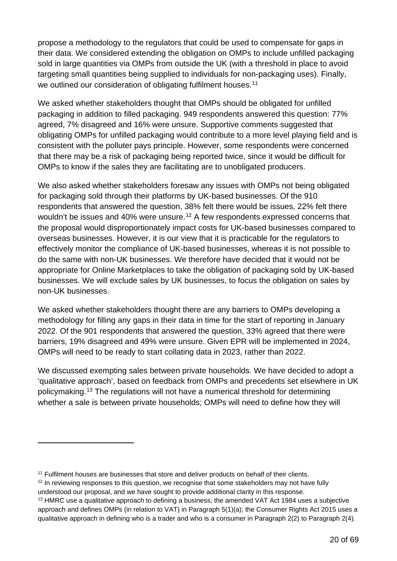propose a methodology to the regulators that could be used to compensate for gaps in their data. We considered extending the obligation on OMPs to include unfilled packaging sold in large quantities via OMPs from outside the UK (with a threshold in place to avoid targeting small quantities being supplied to individuals for non-packaging uses). Finally, we outlined our consideration of obligating fulfilment houses.<sup>[11](#page-19-0)</sup>

We asked whether stakeholders thought that OMPs should be obligated for unfilled packaging in addition to filled packaging. 949 respondents answered this question: 77% agreed, 7% disagreed and 16% were unsure. Supportive comments suggested that obligating OMPs for unfilled packaging would contribute to a more level playing field and is consistent with the polluter pays principle. However, some respondents were concerned that there may be a risk of packaging being reported twice, since it would be difficult for OMPs to know if the sales they are facilitating are to unobligated producers.

We also asked whether stakeholders foresaw any issues with OMPs not being obligated for packaging sold through their platforms by UK-based businesses. Of the 910 respondents that answered the question, 38% felt there would be issues, 22% felt there wouldn't be issues and 40% were unsure.<sup>[12](#page-19-1)</sup> A few respondents expressed concerns that the proposal would disproportionately impact costs for UK-based businesses compared to overseas businesses. However, it is our view that it is practicable for the regulators to effectively monitor the compliance of UK-based businesses, whereas it is not possible to do the same with non-UK businesses. We therefore have decided that it would not be appropriate for Online Marketplaces to take the obligation of packaging sold by UK-based businesses. We will exclude sales by UK businesses, to focus the obligation on sales by non-UK businesses.

We asked whether stakeholders thought there are any barriers to OMPs developing a methodology for filling any gaps in their data in time for the start of reporting in January 2022. Of the 901 respondents that answered the question, 33% agreed that there were barriers, 19% disagreed and 49% were unsure. Given EPR will be implemented in 2024, OMPs will need to be ready to start collating data in 2023, rather than 2022.

We discussed exempting sales between private households. We have decided to adopt a 'qualitative approach', based on feedback from OMPs and precedents set elsewhere in UK policymaking.[13](#page-19-2) The regulations will not have a numerical threshold for determining whether a sale is between private households; OMPs will need to define how they will

<span id="page-19-0"></span><sup>&</sup>lt;sup>11</sup> Fulfilment houses are businesses that store and deliver products on behalf of their clients.

<span id="page-19-1"></span> $12$  In reviewing responses to this question, we recognise that some stakeholders may not have fully understood our proposal, and we have sought to provide additional clarity in this response.

<span id="page-19-2"></span><sup>&</sup>lt;sup>13</sup> HMRC use a qualitative approach to defining a business; the amended VAT Act 1984 uses a subjective approach and defines OMPs (in relation to VAT) in Paragraph 5(1)(a); the Consumer Rights Act 2015 uses a qualitative approach in defining who is a trader and who is a consumer in Paragraph 2(2) to Paragraph 2(4).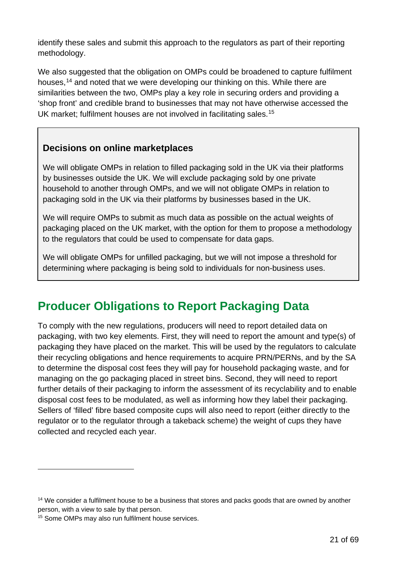identify these sales and submit this approach to the regulators as part of their reporting methodology.

We also suggested that the obligation on OMPs could be broadened to capture fulfilment houses, [14](#page-20-1) and noted that we were developing our thinking on this. While there are similarities between the two, OMPs play a key role in securing orders and providing a 'shop front' and credible brand to businesses that may not have otherwise accessed the UK market; fulfilment houses are not involved in facilitating sales.<sup>[15](#page-20-2)</sup>

#### **Decisions on online marketplaces**

We will obligate OMPs in relation to filled packaging sold in the UK via their platforms by businesses outside the UK. We will exclude packaging sold by one private household to another through OMPs, and we will not obligate OMPs in relation to packaging sold in the UK via their platforms by businesses based in the UK.

We will require OMPs to submit as much data as possible on the actual weights of packaging placed on the UK market, with the option for them to propose a methodology to the regulators that could be used to compensate for data gaps.

We will obligate OMPs for unfilled packaging, but we will not impose a threshold for determining where packaging is being sold to individuals for non-business uses.

### <span id="page-20-0"></span>**Producer Obligations to Report Packaging Data**

To comply with the new regulations, producers will need to report detailed data on packaging, with two key elements. First, they will need to report the amount and type(s) of packaging they have placed on the market. This will be used by the regulators to calculate their recycling obligations and hence requirements to acquire PRN/PERNs, and by the SA to determine the disposal cost fees they will pay for household packaging waste, and for managing on the go packaging placed in street bins. Second, they will need to report further details of their packaging to inform the assessment of its recyclability and to enable disposal cost fees to be modulated, as well as informing how they label their packaging. Sellers of 'filled' fibre based composite cups will also need to report (either directly to the regulator or to the regulator through a takeback scheme) the weight of cups they have collected and recycled each year.

<span id="page-20-1"></span><sup>&</sup>lt;sup>14</sup> We consider a fulfilment house to be a business that stores and packs goods that are owned by another person, with a view to sale by that person.

<span id="page-20-2"></span><sup>15</sup> Some OMPs may also run fulfilment house services.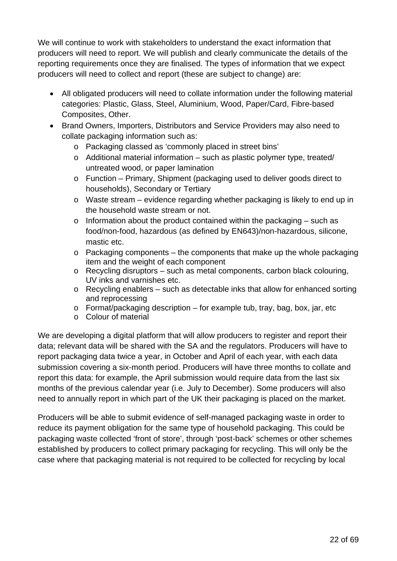We will continue to work with stakeholders to understand the exact information that producers will need to report. We will publish and clearly communicate the details of the reporting requirements once they are finalised. The types of information that we expect producers will need to collect and report (these are subject to change) are:

- All obligated producers will need to collate information under the following material categories: Plastic, Glass, Steel, Aluminium, Wood, Paper/Card, Fibre-based Composites, Other.
- Brand Owners, Importers, Distributors and Service Providers may also need to collate packaging information such as:
	- o Packaging classed as 'commonly placed in street bins'
	- o Additional material information such as plastic polymer type, treated/ untreated wood, or paper lamination
	- o Function Primary, Shipment (packaging used to deliver goods direct to households), Secondary or Tertiary
	- o Waste stream evidence regarding whether packaging is likely to end up in the household waste stream or not.
	- $\circ$  Information about the product contained within the packaging such as food/non-food, hazardous (as defined by EN643)/non-hazardous, silicone, mastic etc.
	- $\circ$  Packaging components the components that make up the whole packaging item and the weight of each component
	- o Recycling disruptors such as metal components, carbon black colouring, UV inks and varnishes etc.
	- $\circ$  Recycling enablers such as detectable inks that allow for enhanced sorting and reprocessing
	- o Format/packaging description for example tub, tray, bag, box, jar, etc
	- o Colour of material

We are developing a digital platform that will allow producers to register and report their data; relevant data will be shared with the SA and the regulators. Producers will have to report packaging data twice a year, in October and April of each year, with each data submission covering a six-month period. Producers will have three months to collate and report this data: for example, the April submission would require data from the last six months of the previous calendar year (i.e. July to December). Some producers will also need to annually report in which part of the UK their packaging is placed on the market.

Producers will be able to submit evidence of self-managed packaging waste in order to reduce its payment obligation for the same type of household packaging. This could be packaging waste collected 'front of store', through 'post-back' schemes or other schemes established by producers to collect primary packaging for recycling. This will only be the case where that packaging material is not required to be collected for recycling by local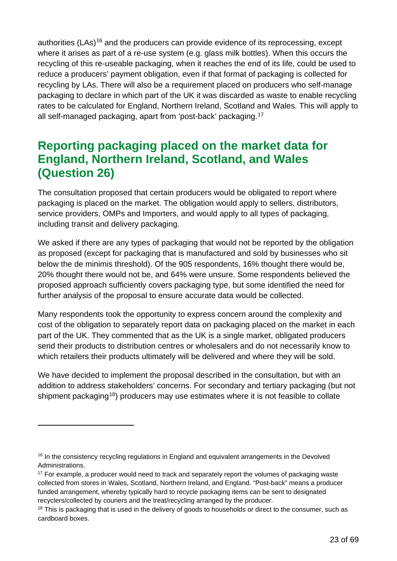authorities (LAs)<sup>[16](#page-22-1)</sup> and the producers can provide evidence of its reprocessing, except where it arises as part of a re-use system (e.g. glass milk bottles). When this occurs the recycling of this re-useable packaging, when it reaches the end of its life, could be used to reduce a producers' payment obligation, even if that format of packaging is collected for recycling by LAs. There will also be a requirement placed on producers who self-manage packaging to declare in which part of the UK it was discarded as waste to enable recycling rates to be calculated for England, Northern Ireland, Scotland and Wales. This will apply to all self-managed packaging, apart from 'post-back' packaging.[17](#page-22-2)

### <span id="page-22-0"></span>**Reporting packaging placed on the market data for England, Northern Ireland, Scotland, and Wales (Question 26)**

The consultation proposed that certain producers would be obligated to report where packaging is placed on the market. The obligation would apply to sellers, distributors, service providers, OMPs and Importers, and would apply to all types of packaging, including transit and delivery packaging.

We asked if there are any types of packaging that would not be reported by the obligation as proposed (except for packaging that is manufactured and sold by businesses who sit below the de minimis threshold). Of the 905 respondents, 16% thought there would be, 20% thought there would not be, and 64% were unsure. Some respondents believed the proposed approach sufficiently covers packaging type, but some identified the need for further analysis of the proposal to ensure accurate data would be collected.

Many respondents took the opportunity to express concern around the complexity and cost of the obligation to separately report data on packaging placed on the market in each part of the UK. They commented that as the UK is a single market, obligated producers send their products to distribution centres or wholesalers and do not necessarily know to which retailers their products ultimately will be delivered and where they will be sold.

We have decided to implement the proposal described in the consultation, but with an addition to address stakeholders' concerns. For secondary and tertiary packaging (but not shipment packaging<sup>18</sup>) producers may use estimates where it is not feasible to collate

<span id="page-22-1"></span><sup>&</sup>lt;sup>16</sup> In the consistency recycling regulations in England and equivalent arrangements in the Devolved Administrations.

<span id="page-22-2"></span><sup>&</sup>lt;sup>17</sup> For example, a producer would need to track and separately report the volumes of packaging waste collected from stores in Wales, Scotland, Northern Ireland, and England. "Post-back" means a producer funded arrangement, whereby typically hard to recycle packaging items can be sent to designated recyclers/collected by couriers and the treat/recycling arranged by the producer.

<span id="page-22-3"></span><sup>&</sup>lt;sup>18</sup> This is packaging that is used in the delivery of goods to households or direct to the consumer, such as cardboard boxes.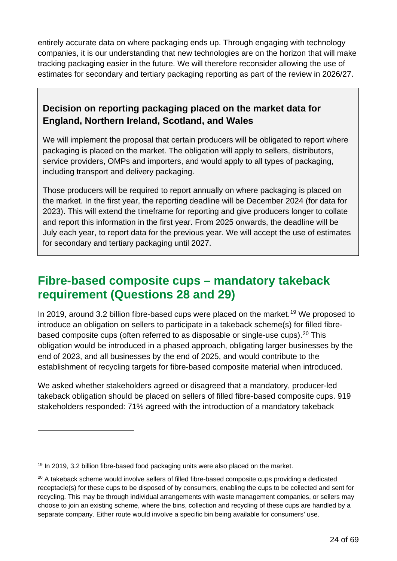entirely accurate data on where packaging ends up. Through engaging with technology companies, it is our understanding that new technologies are on the horizon that will make tracking packaging easier in the future. We will therefore reconsider allowing the use of estimates for secondary and tertiary packaging reporting as part of the review in 2026/27.

#### **Decision on reporting packaging placed on the market data for England, Northern Ireland, Scotland, and Wales**

We will implement the proposal that certain producers will be obligated to report where packaging is placed on the market. The obligation will apply to sellers, distributors, service providers, OMPs and importers, and would apply to all types of packaging, including transport and delivery packaging.

Those producers will be required to report annually on where packaging is placed on the market. In the first year, the reporting deadline will be December 2024 (for data for 2023). This will extend the timeframe for reporting and give producers longer to collate and report this information in the first year. From 2025 onwards, the deadline will be July each year, to report data for the previous year. We will accept the use of estimates for secondary and tertiary packaging until 2027.

### <span id="page-23-0"></span>**Fibre-based composite cups – mandatory takeback requirement (Questions 28 and 29)**

In 20[19](#page-23-1), around 3.2 billion fibre-based cups were placed on the market.<sup>19</sup> We proposed to introduce an obligation on sellers to participate in a takeback scheme(s) for filled fibre-based composite cups (often referred to as disposable or single-use cups).<sup>[20](#page-23-2)</sup> This obligation would be introduced in a phased approach, obligating larger businesses by the end of 2023, and all businesses by the end of 2025, and would contribute to the establishment of recycling targets for fibre-based composite material when introduced.

We asked whether stakeholders agreed or disagreed that a mandatory, producer-led takeback obligation should be placed on sellers of filled fibre-based composite cups. 919 stakeholders responded: 71% agreed with the introduction of a mandatory takeback

<span id="page-23-1"></span><sup>&</sup>lt;sup>19</sup> In 2019, 3.2 billion fibre-based food packaging units were also placed on the market.

<span id="page-23-2"></span> $20$  A takeback scheme would involve sellers of filled fibre-based composite cups providing a dedicated receptacle(s) for these cups to be disposed of by consumers, enabling the cups to be collected and sent for recycling. This may be through individual arrangements with waste management companies, or sellers may choose to join an existing scheme, where the bins, collection and recycling of these cups are handled by a separate company. Either route would involve a specific bin being available for consumers' use.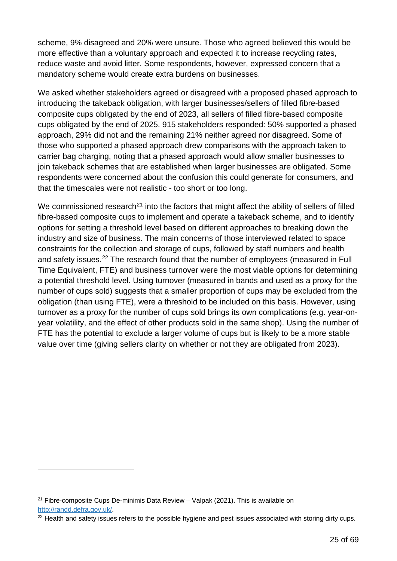scheme, 9% disagreed and 20% were unsure. Those who agreed believed this would be more effective than a voluntary approach and expected it to increase recycling rates, reduce waste and avoid litter. Some respondents, however, expressed concern that a mandatory scheme would create extra burdens on businesses.

We asked whether stakeholders agreed or disagreed with a proposed phased approach to introducing the takeback obligation, with larger businesses/sellers of filled fibre-based composite cups obligated by the end of 2023, all sellers of filled fibre-based composite cups obligated by the end of 2025. 915 stakeholders responded: 50% supported a phased approach, 29% did not and the remaining 21% neither agreed nor disagreed. Some of those who supported a phased approach drew comparisons with the approach taken to carrier bag charging, noting that a phased approach would allow smaller businesses to join takeback schemes that are established when larger businesses are obligated. Some respondents were concerned about the confusion this could generate for consumers, and that the timescales were not realistic - too short or too long.

We commissioned research<sup>[21](#page-24-0)</sup> into the factors that might affect the ability of sellers of filled fibre-based composite cups to implement and operate a takeback scheme, and to identify options for setting a threshold level based on different approaches to breaking down the industry and size of business. The main concerns of those interviewed related to space constraints for the collection and storage of cups, followed by staff numbers and health and safety issues.<sup>[22](#page-24-1)</sup> The research found that the number of employees (measured in Full Time Equivalent, FTE) and business turnover were the most viable options for determining a potential threshold level. Using turnover (measured in bands and used as a proxy for the number of cups sold) suggests that a smaller proportion of cups may be excluded from the obligation (than using FTE), were a threshold to be included on this basis. However, using turnover as a proxy for the number of cups sold brings its own complications (e.g. year-onyear volatility, and the effect of other products sold in the same shop). Using the number of FTE has the potential to exclude a larger volume of cups but is likely to be a more stable value over time (giving sellers clarity on whether or not they are obligated from 2023).

<span id="page-24-0"></span><sup>&</sup>lt;sup>21</sup> Fibre-composite Cups De-minimis Data Review  $-$  Valpak (2021). This is available on [http://randd.defra.gov.uk/.](http://randd.defra.gov.uk/)

<span id="page-24-1"></span><sup>&</sup>lt;sup>22</sup> Health and safety issues refers to the possible hygiene and pest issues associated with storing dirty cups.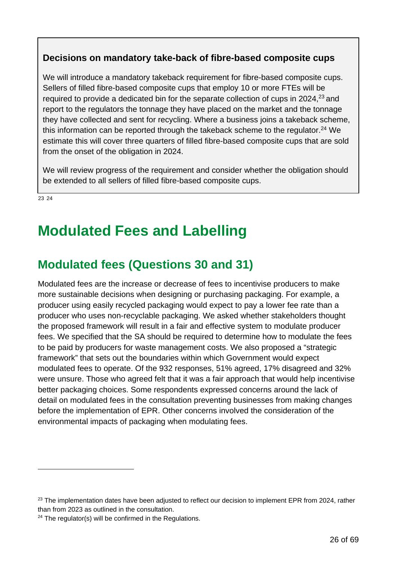#### **Decisions on mandatory take-back of fibre-based composite cups**

We will introduce a mandatory takeback requirement for fibre-based composite cups. Sellers of filled fibre-based composite cups that employ 10 or more FTEs will be required to provide a dedicated bin for the separate collection of cups in 2024, $^{23}$  and report to the regulators the tonnage they have placed on the market and the tonnage they have collected and sent for recycling. Where a business joins a takeback scheme, this information can be reported through the takeback scheme to the regulator. <sup>24</sup> We estimate this will cover three quarters of filled fibre-based composite cups that are sold from the onset of the obligation in 2024.

We will review progress of the requirement and consider whether the obligation should be extended to all sellers of filled fibre-based composite cups.

<span id="page-25-0"></span>[23](#page-25-2) [24](#page-25-3)

# **Modulated Fees and Labelling**

### <span id="page-25-1"></span>**Modulated fees (Questions 30 and 31)**

Modulated fees are the increase or decrease of fees to incentivise producers to make more sustainable decisions when designing or purchasing packaging. For example, a producer using easily recycled packaging would expect to pay a lower fee rate than a producer who uses non-recyclable packaging. We asked whether stakeholders thought the proposed framework will result in a fair and effective system to modulate producer fees. We specified that the SA should be required to determine how to modulate the fees to be paid by producers for waste management costs. We also proposed a "strategic framework" that sets out the boundaries within which Government would expect modulated fees to operate. Of the 932 responses, 51% agreed, 17% disagreed and 32% were unsure. Those who agreed felt that it was a fair approach that would help incentivise better packaging choices. Some respondents expressed concerns around the lack of detail on modulated fees in the consultation preventing businesses from making changes before the implementation of EPR. Other concerns involved the consideration of the environmental impacts of packaging when modulating fees.

<span id="page-25-2"></span> $23$  The implementation dates have been adjusted to reflect our decision to implement EPR from 2024, rather than from 2023 as outlined in the consultation.

<span id="page-25-3"></span> $24$  The regulator(s) will be confirmed in the Regulations.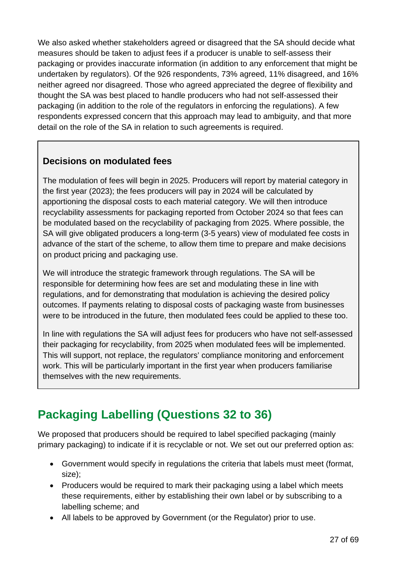We also asked whether stakeholders agreed or disagreed that the SA should decide what measures should be taken to adjust fees if a producer is unable to self-assess their packaging or provides inaccurate information (in addition to any enforcement that might be undertaken by regulators). Of the 926 respondents, 73% agreed, 11% disagreed, and 16% neither agreed nor disagreed. Those who agreed appreciated the degree of flexibility and thought the SA was best placed to handle producers who had not self-assessed their packaging (in addition to the role of the regulators in enforcing the regulations). A few respondents expressed concern that this approach may lead to ambiguity, and that more detail on the role of the SA in relation to such agreements is required.

#### **Decisions on modulated fees**

The modulation of fees will begin in 2025. Producers will report by material category in the first year (2023); the fees producers will pay in 2024 will be calculated by apportioning the disposal costs to each material category. We will then introduce recyclability assessments for packaging reported from October 2024 so that fees can be modulated based on the recyclability of packaging from 2025. Where possible, the SA will give obligated producers a long-term (3-5 years) view of modulated fee costs in advance of the start of the scheme, to allow them time to prepare and make decisions on product pricing and packaging use.

We will introduce the strategic framework through regulations. The SA will be responsible for determining how fees are set and modulating these in line with regulations, and for demonstrating that modulation is achieving the desired policy outcomes. If payments relating to disposal costs of packaging waste from businesses were to be introduced in the future, then modulated fees could be applied to these too.

In line with regulations the SA will adjust fees for producers who have not self-assessed their packaging for recyclability, from 2025 when modulated fees will be implemented. This will support, not replace, the regulators' compliance monitoring and enforcement work. This will be particularly important in the first year when producers familiarise themselves with the new requirements.

### <span id="page-26-0"></span>**Packaging Labelling (Questions 32 to 36)**

We proposed that producers should be required to label specified packaging (mainly primary packaging) to indicate if it is recyclable or not. We set out our preferred option as:

- Government would specify in regulations the criteria that labels must meet (format, size);
- Producers would be required to mark their packaging using a label which meets these requirements, either by establishing their own label or by subscribing to a labelling scheme; and
- All labels to be approved by Government (or the Regulator) prior to use.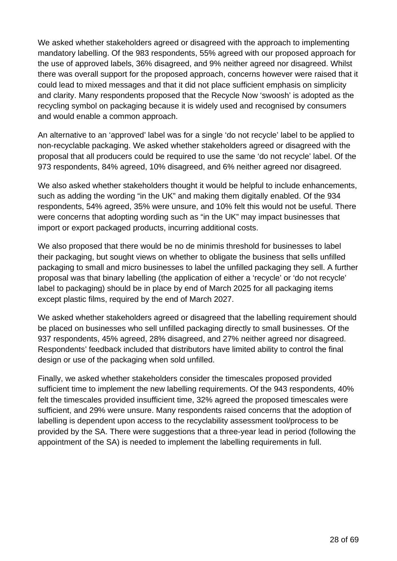We asked whether stakeholders agreed or disagreed with the approach to implementing mandatory labelling. Of the 983 respondents, 55% agreed with our proposed approach for the use of approved labels, 36% disagreed, and 9% neither agreed nor disagreed. Whilst there was overall support for the proposed approach, concerns however were raised that it could lead to mixed messages and that it did not place sufficient emphasis on simplicity and clarity. Many respondents proposed that the Recycle Now 'swoosh' is adopted as the recycling symbol on packaging because it is widely used and recognised by consumers and would enable a common approach.

An alternative to an 'approved' label was for a single 'do not recycle' label to be applied to non-recyclable packaging. We asked whether stakeholders agreed or disagreed with the proposal that all producers could be required to use the same 'do not recycle' label. Of the 973 respondents, 84% agreed, 10% disagreed, and 6% neither agreed nor disagreed.

We also asked whether stakeholders thought it would be helpful to include enhancements, such as adding the wording "in the UK" and making them digitally enabled. Of the 934 respondents, 54% agreed, 35% were unsure, and 10% felt this would not be useful. There were concerns that adopting wording such as "in the UK" may impact businesses that import or export packaged products, incurring additional costs.

We also proposed that there would be no de minimis threshold for businesses to label their packaging, but sought views on whether to obligate the business that sells unfilled packaging to small and micro businesses to label the unfilled packaging they sell. A further proposal was that binary labelling (the application of either a 'recycle' or 'do not recycle' label to packaging) should be in place by end of March 2025 for all packaging items except plastic films, required by the end of March 2027.

We asked whether stakeholders agreed or disagreed that the labelling requirement should be placed on businesses who sell unfilled packaging directly to small businesses. Of the 937 respondents, 45% agreed, 28% disagreed, and 27% neither agreed nor disagreed. Respondents' feedback included that distributors have limited ability to control the final design or use of the packaging when sold unfilled.

Finally, we asked whether stakeholders consider the timescales proposed provided sufficient time to implement the new labelling requirements. Of the 943 respondents, 40% felt the timescales provided insufficient time, 32% agreed the proposed timescales were sufficient, and 29% were unsure. Many respondents raised concerns that the adoption of labelling is dependent upon access to the recyclability assessment tool/process to be provided by the SA. There were suggestions that a three-year lead in period (following the appointment of the SA) is needed to implement the labelling requirements in full.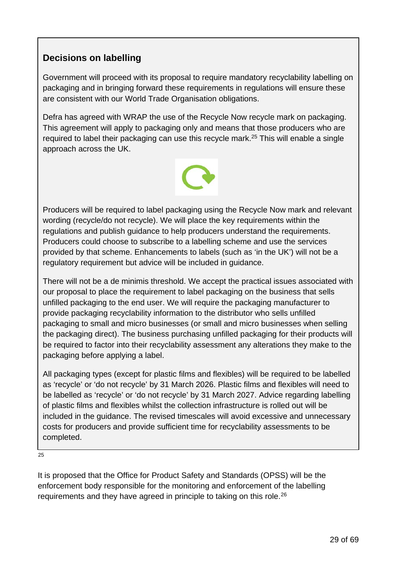#### **Decisions on labelling**

Government will proceed with its proposal to require mandatory recyclability labelling on packaging and in bringing forward these requirements in regulations will ensure these are consistent with our World Trade Organisation obligations.

Defra has agreed with WRAP the use of the Recycle Now recycle mark on packaging. This agreement will apply to packaging only and means that those producers who are required to label their packaging can use this recycle mark.<sup>25</sup> This will enable a single approach across the UK.



Producers will be required to label packaging using the Recycle Now mark and relevant wording (recycle/do not recycle). We will place the key requirements within the regulations and publish guidance to help producers understand the requirements. Producers could choose to subscribe to a labelling scheme and use the services provided by that scheme. Enhancements to labels (such as 'in the UK') will not be a regulatory requirement but advice will be included in guidance.

There will not be a de minimis threshold. We accept the practical issues associated with our proposal to place the requirement to label packaging on the business that sells unfilled packaging to the end user. We will require the packaging manufacturer to provide packaging recyclability information to the distributor who sells unfilled packaging to small and micro businesses (or small and micro businesses when selling the packaging direct). The business purchasing unfilled packaging for their products will be required to factor into their recyclability assessment any alterations they make to the packaging before applying a label.

All packaging types (except for plastic films and flexibles) will be required to be labelled as 'recycle' or 'do not recycle' by 31 March 2026. Plastic films and flexibles will need to be labelled as 'recycle' or 'do not recycle' by 31 March 2027. Advice regarding labelling of plastic films and flexibles whilst the collection infrastructure is rolled out will be included in the guidance. The revised timescales will avoid excessive and unnecessary costs for producers and provide sufficient time for recyclability assessments to be completed.

[25](#page-28-0)

<span id="page-28-1"></span><span id="page-28-0"></span>It is proposed that the Office for Product Safety and Standards (OPSS) will be the enforcement body responsible for the monitoring and enforcement of the labelling requirements and they have agreed in principle to taking on this role.<sup>[26](#page-28-1)</sup>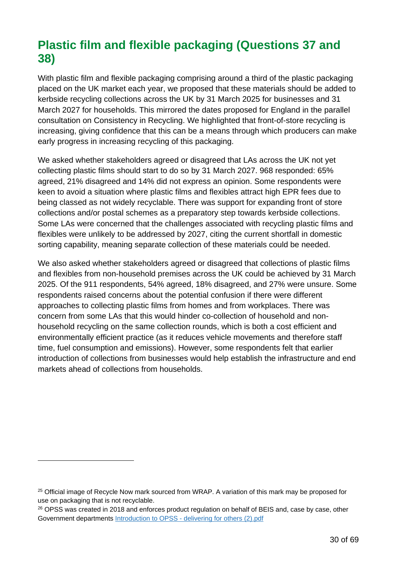### <span id="page-29-0"></span>**Plastic film and flexible packaging (Questions 37 and 38)**

With plastic film and flexible packaging comprising around a third of the plastic packaging placed on the UK market each year, we proposed that these materials should be added to kerbside recycling collections across the UK by 31 March 2025 for businesses and 31 March 2027 for households. This mirrored the dates proposed for England in the parallel consultation on Consistency in Recycling. We highlighted that front-of-store recycling is increasing, giving confidence that this can be a means through which producers can make early progress in increasing recycling of this packaging.

We asked whether stakeholders agreed or disagreed that LAs across the UK not yet collecting plastic films should start to do so by 31 March 2027. 968 responded: 65% agreed, 21% disagreed and 14% did not express an opinion. Some respondents were keen to avoid a situation where plastic films and flexibles attract high EPR fees due to being classed as not widely recyclable. There was support for expanding front of store collections and/or postal schemes as a preparatory step towards kerbside collections. Some LAs were concerned that the challenges associated with recycling plastic films and flexibles were unlikely to be addressed by 2027, citing the current shortfall in domestic sorting capability, meaning separate collection of these materials could be needed.

We also asked whether stakeholders agreed or disagreed that collections of plastic films and flexibles from non-household premises across the UK could be achieved by 31 March 2025. Of the 911 respondents, 54% agreed, 18% disagreed, and 27% were unsure. Some respondents raised concerns about the potential confusion if there were different approaches to collecting plastic films from homes and from workplaces. There was concern from some LAs that this would hinder co-collection of household and nonhousehold recycling on the same collection rounds, which is both a cost efficient and environmentally efficient practice (as it reduces vehicle movements and therefore staff time, fuel consumption and emissions). However, some respondents felt that earlier introduction of collections from businesses would help establish the infrastructure and end markets ahead of collections from households.

<sup>&</sup>lt;sup>25</sup> Official image of Recycle Now mark sourced from WRAP. A variation of this mark may be proposed for use on packaging that is not recyclable.

<sup>&</sup>lt;sup>26</sup> OPSS was created in 2018 and enforces product regulation on behalf of BEIS and, case by case, other Government departments Introduction to OPSS - delivering for others (2).pdf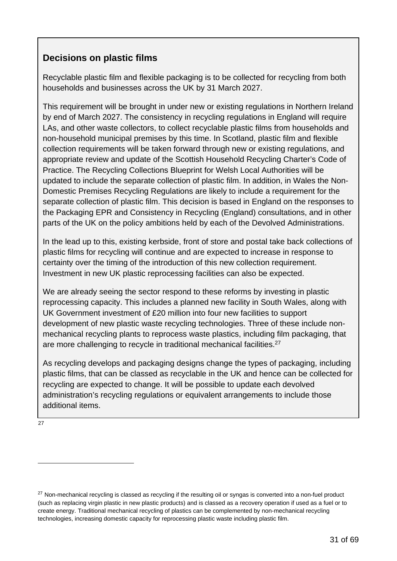#### **Decisions on plastic films**

Recyclable plastic film and flexible packaging is to be collected for recycling from both households and businesses across the UK by 31 March 2027.

This requirement will be brought in under new or existing regulations in Northern Ireland by end of March 2027. The consistency in recycling regulations in England will require LAs, and other waste collectors, to collect recyclable plastic films from households and non-household municipal premises by this time. In Scotland, plastic film and flexible collection requirements will be taken forward through new or existing regulations, and appropriate review and update of the Scottish Household Recycling Charter's Code of Practice. The Recycling Collections Blueprint for Welsh Local Authorities will be updated to include the separate collection of plastic film. In addition, in Wales the Non-Domestic Premises Recycling Regulations are likely to include a requirement for the separate collection of plastic film. This decision is based in England on the responses to the Packaging EPR and Consistency in Recycling (England) consultations, and in other parts of the UK on the policy ambitions held by each of the Devolved Administrations.

In the lead up to this, existing kerbside, front of store and postal take back collections of plastic films for recycling will continue and are expected to increase in response to certainty over the timing of the introduction of this new collection requirement. Investment in new UK plastic reprocessing facilities can also be expected.

We are already seeing the sector respond to these reforms by investing in plastic reprocessing capacity. This includes a planned new facility in South Wales, along with UK Government investment of £20 million into four new facilities to support development of new plastic waste recycling technologies. Three of these include nonmechanical recycling plants to reprocess waste plastics, including film packaging, that are more challenging to recycle in traditional mechanical facilities.<sup>27</sup>

As recycling develops and packaging designs change the types of packaging, including plastic films, that can be classed as recyclable in the UK and hence can be collected for recycling are expected to change. It will be possible to update each devolved administration's recycling regulations or equivalent arrangements to include those additional items.

[27](#page-30-0)

<span id="page-30-0"></span><sup>&</sup>lt;sup>27</sup> Non-mechanical recycling is classed as recycling if the resulting oil or syngas is converted into a non-fuel product (such as replacing virgin plastic in new plastic products) and is classed as a recovery operation if used as a fuel or to create energy. Traditional mechanical recycling of plastics can be complemented by non-mechanical recycling technologies, increasing domestic capacity for reprocessing plastic waste including plastic film.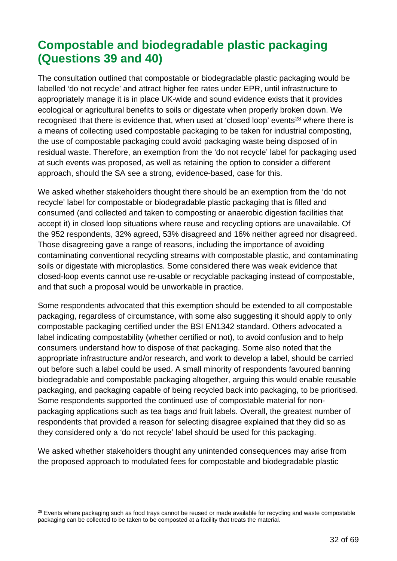### <span id="page-31-0"></span>**Compostable and biodegradable plastic packaging (Questions 39 and 40)**

The consultation outlined that compostable or biodegradable plastic packaging would be labelled 'do not recycle' and attract higher fee rates under EPR, until infrastructure to appropriately manage it is in place UK-wide and sound evidence exists that it provides ecological or agricultural benefits to soils or digestate when properly broken down. We recognised that there is evidence that, when used at 'closed loop' events<sup>[28](#page-31-1)</sup> where there is a means of collecting used compostable packaging to be taken for industrial composting, the use of compostable packaging could avoid packaging waste being disposed of in residual waste. Therefore, an exemption from the 'do not recycle' label for packaging used at such events was proposed, as well as retaining the option to consider a different approach, should the SA see a strong, evidence-based, case for this.

We asked whether stakeholders thought there should be an exemption from the 'do not recycle' label for compostable or biodegradable plastic packaging that is filled and consumed (and collected and taken to composting or anaerobic digestion facilities that accept it) in closed loop situations where reuse and recycling options are unavailable. Of the 952 respondents, 32% agreed, 53% disagreed and 16% neither agreed nor disagreed. Those disagreeing gave a range of reasons, including the importance of avoiding contaminating conventional recycling streams with compostable plastic, and contaminating soils or digestate with microplastics. Some considered there was weak evidence that closed-loop events cannot use re-usable or recyclable packaging instead of compostable, and that such a proposal would be unworkable in practice.

Some respondents advocated that this exemption should be extended to all compostable packaging, regardless of circumstance, with some also suggesting it should apply to only compostable packaging certified under the BSI EN1342 standard. Others advocated a label indicating compostability (whether certified or not), to avoid confusion and to help consumers understand how to dispose of that packaging. Some also noted that the appropriate infrastructure and/or research, and work to develop a label, should be carried out before such a label could be used. A small minority of respondents favoured banning biodegradable and compostable packaging altogether, arguing this would enable reusable packaging, and packaging capable of being recycled back into packaging, to be prioritised. Some respondents supported the continued use of compostable material for nonpackaging applications such as tea bags and fruit labels. Overall, the greatest number of respondents that provided a reason for selecting disagree explained that they did so as they considered only a 'do not recycle' label should be used for this packaging.

We asked whether stakeholders thought any unintended consequences may arise from the proposed approach to modulated fees for compostable and biodegradable plastic

<span id="page-31-1"></span><sup>&</sup>lt;sup>28</sup> Events where packaging such as food trays cannot be reused or made available for recycling and waste compostable packaging can be collected to be taken to be composted at a facility that treats the material.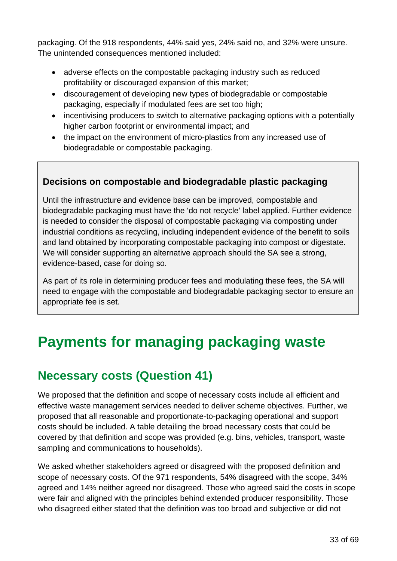packaging. Of the 918 respondents, 44% said yes, 24% said no, and 32% were unsure. The unintended consequences mentioned included:

- adverse effects on the compostable packaging industry such as reduced profitability or discouraged expansion of this market;
- discouragement of developing new types of biodegradable or compostable packaging, especially if modulated fees are set too high;
- incentivising producers to switch to alternative packaging options with a potentially higher carbon footprint or environmental impact; and
- the impact on the environment of micro-plastics from any increased use of biodegradable or compostable packaging.

#### **Decisions on compostable and biodegradable plastic packaging**

Until the infrastructure and evidence base can be improved, compostable and biodegradable packaging must have the 'do not recycle' label applied. Further evidence is needed to consider the disposal of compostable packaging via composting under industrial conditions as recycling, including independent evidence of the benefit to soils and land obtained by incorporating compostable packaging into compost or digestate. We will consider supporting an alternative approach should the SA see a strong, evidence-based, case for doing so.

As part of its role in determining producer fees and modulating these fees, the SA will need to engage with the compostable and biodegradable packaging sector to ensure an appropriate fee is set.

# <span id="page-32-0"></span>**Payments for managing packaging waste**

### <span id="page-32-1"></span>**Necessary costs (Question 41)**

We proposed that the definition and scope of necessary costs include all efficient and effective waste management services needed to deliver scheme objectives. Further, we proposed that all reasonable and proportionate-to-packaging operational and support costs should be included. A table detailing the broad necessary costs that could be covered by that definition and scope was provided (e.g. bins, vehicles, transport, waste sampling and communications to households).

We asked whether stakeholders agreed or disagreed with the proposed definition and scope of necessary costs. Of the 971 respondents, 54% disagreed with the scope, 34% agreed and 14% neither agreed nor disagreed. Those who agreed said the costs in scope were fair and aligned with the principles behind extended producer responsibility. Those who disagreed either stated that the definition was too broad and subjective or did not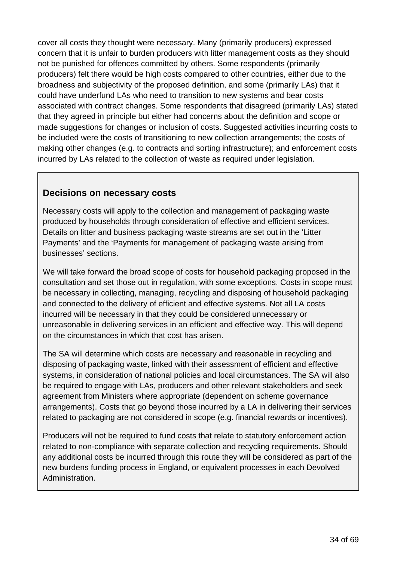cover all costs they thought were necessary. Many (primarily producers) expressed concern that it is unfair to burden producers with litter management costs as they should not be punished for offences committed by others. Some respondents (primarily producers) felt there would be high costs compared to other countries, either due to the broadness and subjectivity of the proposed definition, and some (primarily LAs) that it could have underfund LAs who need to transition to new systems and bear costs associated with contract changes. Some respondents that disagreed (primarily LAs) stated that they agreed in principle but either had concerns about the definition and scope or made suggestions for changes or inclusion of costs. Suggested activities incurring costs to be included were the costs of transitioning to new collection arrangements; the costs of making other changes (e.g. to contracts and sorting infrastructure); and enforcement costs incurred by LAs related to the collection of waste as required under legislation.

#### **Decisions on necessary costs**

Necessary costs will apply to the collection and management of packaging waste produced by households through consideration of effective and efficient services. Details on litter and business packaging waste streams are set out in the 'Litter Payments' and the 'Payments for management of packaging waste arising from businesses' sections.

We will take forward the broad scope of costs for household packaging proposed in the consultation and set those out in regulation, with some exceptions. Costs in scope must be necessary in collecting, managing, recycling and disposing of household packaging and connected to the delivery of efficient and effective systems. Not all LA costs incurred will be necessary in that they could be considered unnecessary or unreasonable in delivering services in an efficient and effective way. This will depend on the circumstances in which that cost has arisen.

The SA will determine which costs are necessary and reasonable in recycling and disposing of packaging waste, linked with their assessment of efficient and effective systems, in consideration of national policies and local circumstances. The SA will also be required to engage with LAs, producers and other relevant stakeholders and seek agreement from Ministers where appropriate (dependent on scheme governance arrangements). Costs that go beyond those incurred by a LA in delivering their services related to packaging are not considered in scope (e.g. financial rewards or incentives).

Producers will not be required to fund costs that relate to statutory enforcement action related to non-compliance with separate collection and recycling requirements. Should any additional costs be incurred through this route they will be considered as part of the new burdens funding process in England, or equivalent processes in each Devolved Administration.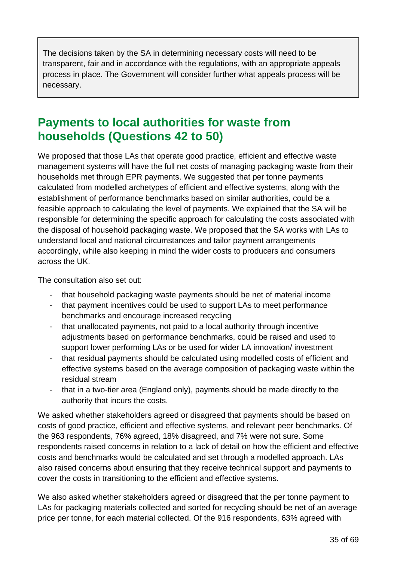The decisions taken by the SA in determining necessary costs will need to be transparent, fair and in accordance with the regulations, with an appropriate appeals process in place. The Government will consider further what appeals process will be necessary.

### <span id="page-34-0"></span>**Payments to local authorities for waste from households (Questions 42 to 50)**

We proposed that those LAs that operate good practice, efficient and effective waste management systems will have the full net costs of managing packaging waste from their households met through EPR payments. We suggested that per tonne payments calculated from modelled archetypes of efficient and effective systems, along with the establishment of performance benchmarks based on similar authorities, could be a feasible approach to calculating the level of payments. We explained that the SA will be responsible for determining the specific approach for calculating the costs associated with the disposal of household packaging waste. We proposed that the SA works with LAs to understand local and national circumstances and tailor payment arrangements accordingly, while also keeping in mind the wider costs to producers and consumers across the UK.

The consultation also set out:

- that household packaging waste payments should be net of material income
- that payment incentives could be used to support LAs to meet performance benchmarks and encourage increased recycling
- that unallocated payments, not paid to a local authority through incentive adjustments based on performance benchmarks, could be raised and used to support lower performing LAs or be used for wider LA innovation/ investment
- that residual payments should be calculated using modelled costs of efficient and effective systems based on the average composition of packaging waste within the residual stream
- that in a two-tier area (England only), payments should be made directly to the authority that incurs the costs.

We asked whether stakeholders agreed or disagreed that payments should be based on costs of good practice, efficient and effective systems, and relevant peer benchmarks. Of the 963 respondents, 76% agreed, 18% disagreed, and 7% were not sure. Some respondents raised concerns in relation to a lack of detail on how the efficient and effective costs and benchmarks would be calculated and set through a modelled approach. LAs also raised concerns about ensuring that they receive technical support and payments to cover the costs in transitioning to the efficient and effective systems.

We also asked whether stakeholders agreed or disagreed that the per tonne payment to LAs for packaging materials collected and sorted for recycling should be net of an average price per tonne, for each material collected. Of the 916 respondents, 63% agreed with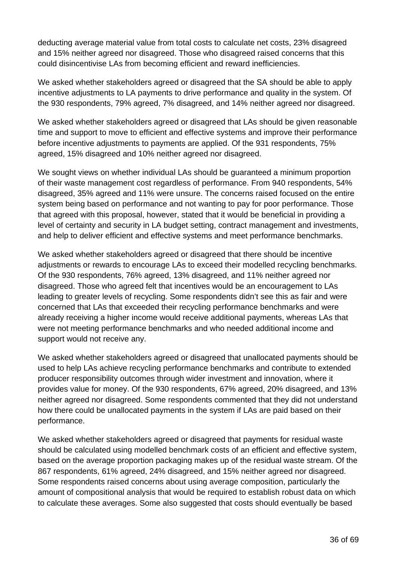deducting average material value from total costs to calculate net costs, 23% disagreed and 15% neither agreed nor disagreed. Those who disagreed raised concerns that this could disincentivise LAs from becoming efficient and reward inefficiencies.

We asked whether stakeholders agreed or disagreed that the SA should be able to apply incentive adjustments to LA payments to drive performance and quality in the system. Of the 930 respondents, 79% agreed, 7% disagreed, and 14% neither agreed nor disagreed.

We asked whether stakeholders agreed or disagreed that LAs should be given reasonable time and support to move to efficient and effective systems and improve their performance before incentive adjustments to payments are applied. Of the 931 respondents, 75% agreed, 15% disagreed and 10% neither agreed nor disagreed.

We sought views on whether individual LAs should be guaranteed a minimum proportion of their waste management cost regardless of performance. From 940 respondents, 54% disagreed, 35% agreed and 11% were unsure. The concerns raised focused on the entire system being based on performance and not wanting to pay for poor performance. Those that agreed with this proposal, however, stated that it would be beneficial in providing a level of certainty and security in LA budget setting, contract management and investments, and help to deliver efficient and effective systems and meet performance benchmarks.

We asked whether stakeholders agreed or disagreed that there should be incentive adjustments or rewards to encourage LAs to exceed their modelled recycling benchmarks. Of the 930 respondents, 76% agreed, 13% disagreed, and 11% neither agreed nor disagreed. Those who agreed felt that incentives would be an encouragement to LAs leading to greater levels of recycling. Some respondents didn't see this as fair and were concerned that LAs that exceeded their recycling performance benchmarks and were already receiving a higher income would receive additional payments, whereas LAs that were not meeting performance benchmarks and who needed additional income and support would not receive any.

We asked whether stakeholders agreed or disagreed that unallocated payments should be used to help LAs achieve recycling performance benchmarks and contribute to extended producer responsibility outcomes through wider investment and innovation, where it provides value for money. Of the 930 respondents, 67% agreed, 20% disagreed, and 13% neither agreed nor disagreed. Some respondents commented that they did not understand how there could be unallocated payments in the system if LAs are paid based on their performance.

We asked whether stakeholders agreed or disagreed that payments for residual waste should be calculated using modelled benchmark costs of an efficient and effective system, based on the average proportion packaging makes up of the residual waste stream. Of the 867 respondents, 61% agreed, 24% disagreed, and 15% neither agreed nor disagreed. Some respondents raised concerns about using average composition, particularly the amount of compositional analysis that would be required to establish robust data on which to calculate these averages. Some also suggested that costs should eventually be based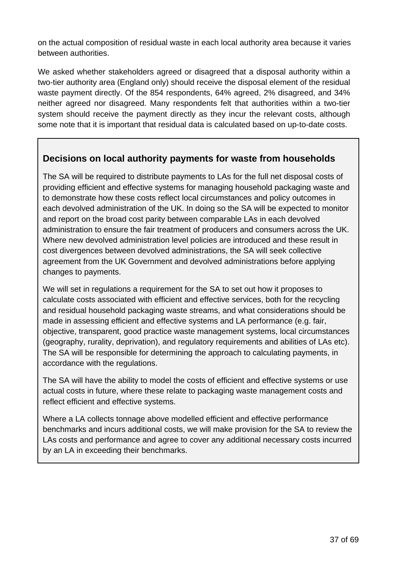on the actual composition of residual waste in each local authority area because it varies between authorities.

We asked whether stakeholders agreed or disagreed that a disposal authority within a two-tier authority area (England only) should receive the disposal element of the residual waste payment directly. Of the 854 respondents, 64% agreed, 2% disagreed, and 34% neither agreed nor disagreed. Many respondents felt that authorities within a two-tier system should receive the payment directly as they incur the relevant costs, although some note that it is important that residual data is calculated based on up-to-date costs.

#### **Decisions on local authority payments for waste from households**

The SA will be required to distribute payments to LAs for the full net disposal costs of providing efficient and effective systems for managing household packaging waste and to demonstrate how these costs reflect local circumstances and policy outcomes in each devolved administration of the UK. In doing so the SA will be expected to monitor and report on the broad cost parity between comparable LAs in each devolved administration to ensure the fair treatment of producers and consumers across the UK. Where new devolved administration level policies are introduced and these result in cost divergences between devolved administrations, the SA will seek collective agreement from the UK Government and devolved administrations before applying changes to payments.

We will set in regulations a requirement for the SA to set out how it proposes to calculate costs associated with efficient and effective services, both for the recycling and residual household packaging waste streams, and what considerations should be made in assessing efficient and effective systems and LA performance (e.g. fair, objective, transparent, good practice waste management systems, local circumstances (geography, rurality, deprivation), and regulatory requirements and abilities of LAs etc). The SA will be responsible for determining the approach to calculating payments, in accordance with the regulations.

The SA will have the ability to model the costs of efficient and effective systems or use actual costs in future, where these relate to packaging waste management costs and reflect efficient and effective systems.

Where a LA collects tonnage above modelled efficient and effective performance benchmarks and incurs additional costs, we will make provision for the SA to review the LAs costs and performance and agree to cover any additional necessary costs incurred by an LA in exceeding their benchmarks.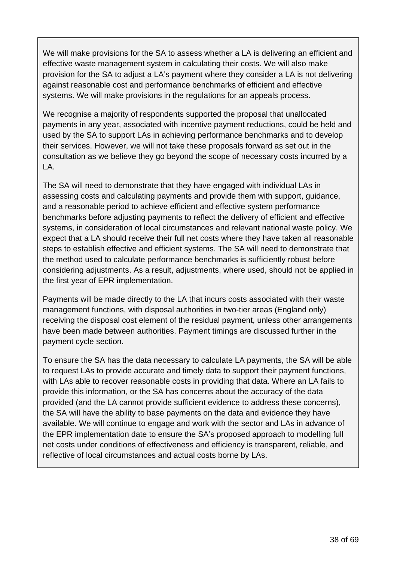We will make provisions for the SA to assess whether a LA is delivering an efficient and effective waste management system in calculating their costs. We will also make provision for the SA to adjust a LA's payment where they consider a LA is not delivering against reasonable cost and performance benchmarks of efficient and effective systems. We will make provisions in the regulations for an appeals process.

We recognise a majority of respondents supported the proposal that unallocated payments in any year, associated with incentive payment reductions, could be held and used by the SA to support LAs in achieving performance benchmarks and to develop their services. However, we will not take these proposals forward as set out in the consultation as we believe they go beyond the scope of necessary costs incurred by a LA.

The SA will need to demonstrate that they have engaged with individual LAs in assessing costs and calculating payments and provide them with support, guidance, and a reasonable period to achieve efficient and effective system performance benchmarks before adjusting payments to reflect the delivery of efficient and effective systems, in consideration of local circumstances and relevant national waste policy. We expect that a LA should receive their full net costs where they have taken all reasonable steps to establish effective and efficient systems. The SA will need to demonstrate that the method used to calculate performance benchmarks is sufficiently robust before considering adjustments. As a result, adjustments, where used, should not be applied in the first year of EPR implementation.

Payments will be made directly to the LA that incurs costs associated with their waste management functions, with disposal authorities in two-tier areas (England only) receiving the disposal cost element of the residual payment, unless other arrangements have been made between authorities. Payment timings are discussed further in the payment cycle section.

To ensure the SA has the data necessary to calculate LA payments, the SA will be able to request LAs to provide accurate and timely data to support their payment functions, with LAs able to recover reasonable costs in providing that data. Where an LA fails to provide this information, or the SA has concerns about the accuracy of the data provided (and the LA cannot provide sufficient evidence to address these concerns), the SA will have the ability to base payments on the data and evidence they have available. We will continue to engage and work with the sector and LAs in advance of the EPR implementation date to ensure the SA's proposed approach to modelling full net costs under conditions of effectiveness and efficiency is transparent, reliable, and reflective of local circumstances and actual costs borne by LAs.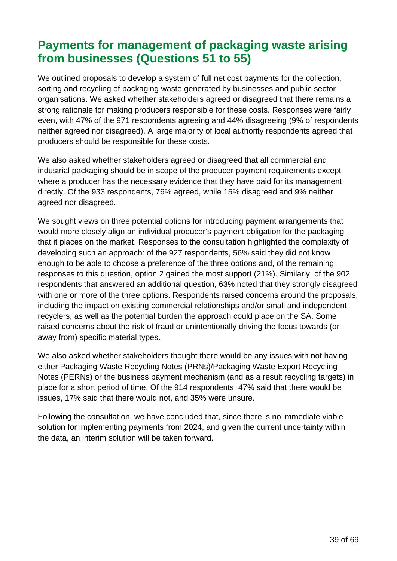### <span id="page-38-0"></span>**Payments for management of packaging waste arising from businesses (Questions 51 to 55)**

We outlined proposals to develop a system of full net cost payments for the collection. sorting and recycling of packaging waste generated by businesses and public sector organisations. We asked whether stakeholders agreed or disagreed that there remains a strong rationale for making producers responsible for these costs. Responses were fairly even, with 47% of the 971 respondents agreeing and 44% disagreeing (9% of respondents neither agreed nor disagreed). A large majority of local authority respondents agreed that producers should be responsible for these costs.

We also asked whether stakeholders agreed or disagreed that all commercial and industrial packaging should be in scope of the producer payment requirements except where a producer has the necessary evidence that they have paid for its management directly. Of the 933 respondents, 76% agreed, while 15% disagreed and 9% neither agreed nor disagreed.

We sought views on three potential options for introducing payment arrangements that would more closely align an individual producer's payment obligation for the packaging that it places on the market. Responses to the consultation highlighted the complexity of developing such an approach: of the 927 respondents, 56% said they did not know enough to be able to choose a preference of the three options and, of the remaining responses to this question, option 2 gained the most support (21%). Similarly, of the 902 respondents that answered an additional question, 63% noted that they strongly disagreed with one or more of the three options. Respondents raised concerns around the proposals, including the impact on existing commercial relationships and/or small and independent recyclers, as well as the potential burden the approach could place on the SA. Some raised concerns about the risk of fraud or unintentionally driving the focus towards (or away from) specific material types.

We also asked whether stakeholders thought there would be any issues with not having either Packaging Waste Recycling Notes (PRNs)/Packaging Waste Export Recycling Notes (PERNs) or the business payment mechanism (and as a result recycling targets) in place for a short period of time. Of the 914 respondents, 47% said that there would be issues, 17% said that there would not, and 35% were unsure.

Following the consultation, we have concluded that, since there is no immediate viable solution for implementing payments from 2024, and given the current uncertainty within the data, an interim solution will be taken forward.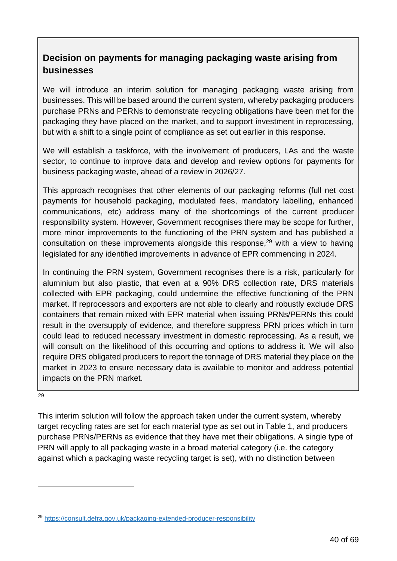#### **Decision on payments for managing packaging waste arising from businesses**

We will introduce an interim solution for managing packaging waste arising from businesses. This will be based around the current system, whereby packaging producers purchase PRNs and PERNs to demonstrate recycling obligations have been met for the packaging they have placed on the market, and to support investment in reprocessing, but with a shift to a single point of compliance as set out earlier in this response.

We will establish a taskforce, with the involvement of producers, LAs and the waste sector, to continue to improve data and develop and review options for payments for business packaging waste, ahead of a review in 2026/27.

This approach recognises that other elements of our packaging reforms (full net cost payments for household packaging, modulated fees, mandatory labelling, enhanced communications, etc) address many of the shortcomings of the current producer responsibility system. However, Government recognises there may be scope for further, more minor improvements to the functioning of the PRN system and has published a consultation on these improvements alongside this response, $29$  with a view to having legislated for any identified improvements in advance of EPR commencing in 2024.

In continuing the PRN system, Government recognises there is a risk, particularly for aluminium but also plastic, that even at a 90% DRS collection rate, DRS materials collected with EPR packaging, could undermine the effective functioning of the PRN market. If reprocessors and exporters are not able to clearly and robustly exclude DRS containers that remain mixed with EPR material when issuing PRNs/PERNs this could result in the oversupply of evidence, and therefore suppress PRN prices which in turn could lead to reduced necessary investment in domestic reprocessing. As a result, we will consult on the likelihood of this occurring and options to address it. We will also require DRS obligated producers to report the tonnage of DRS material they place on the market in 2023 to ensure necessary data is available to monitor and address potential impacts on the PRN market.

**[29](#page-39-0)** 

This interim solution will follow the approach taken under the current system, whereby target recycling rates are set for each material type as set out in Table 1, and producers purchase PRNs/PERNs as evidence that they have met their obligations. A single type of PRN will apply to all packaging waste in a broad material category (i.e. the category against which a packaging waste recycling target is set), with no distinction between

<span id="page-39-0"></span><sup>29</sup> <https://consult.defra.gov.uk/packaging-extended-producer-responsibility>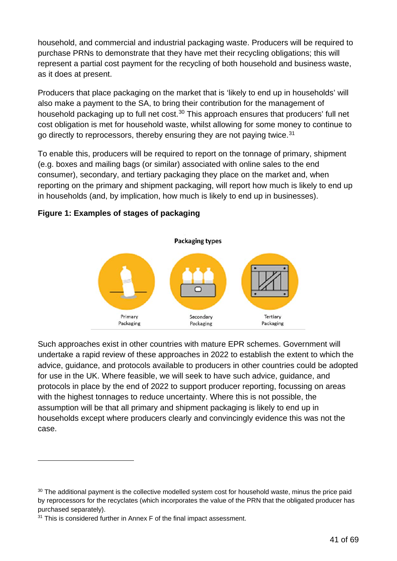household, and commercial and industrial packaging waste. Producers will be required to purchase PRNs to demonstrate that they have met their recycling obligations; this will represent a partial cost payment for the recycling of both household and business waste, as it does at present.

Producers that place packaging on the market that is 'likely to end up in households' will also make a payment to the SA, to bring their contribution for the management of household packaging up to full net cost. [30](#page-40-0) This approach ensures that producers' full net cost obligation is met for household waste, whilst allowing for some money to continue to go directly to reprocessors, thereby ensuring they are not paying twice.<sup>[31](#page-40-1)</sup>

To enable this, producers will be required to report on the tonnage of primary, shipment (e.g. boxes and mailing bags (or similar) associated with online sales to the end consumer), secondary, and tertiary packaging they place on the market and, when reporting on the primary and shipment packaging, will report how much is likely to end up in households (and, by implication, how much is likely to end up in businesses).

#### **Figure 1: Examples of stages of packaging**



Such approaches exist in other countries with mature EPR schemes. Government will undertake a rapid review of these approaches in 2022 to establish the extent to which the advice, guidance, and protocols available to producers in other countries could be adopted for use in the UK. Where feasible, we will seek to have such advice, guidance, and protocols in place by the end of 2022 to support producer reporting, focussing on areas with the highest tonnages to reduce uncertainty. Where this is not possible, the assumption will be that all primary and shipment packaging is likely to end up in households except where producers clearly and convincingly evidence this was not the case.

<span id="page-40-0"></span><sup>&</sup>lt;sup>30</sup> The additional payment is the collective modelled system cost for household waste, minus the price paid by reprocessors for the recyclates (which incorporates the value of the PRN that the obligated producer has purchased separately).

<span id="page-40-1"></span><sup>&</sup>lt;sup>31</sup> This is considered further in Annex F of the final impact assessment.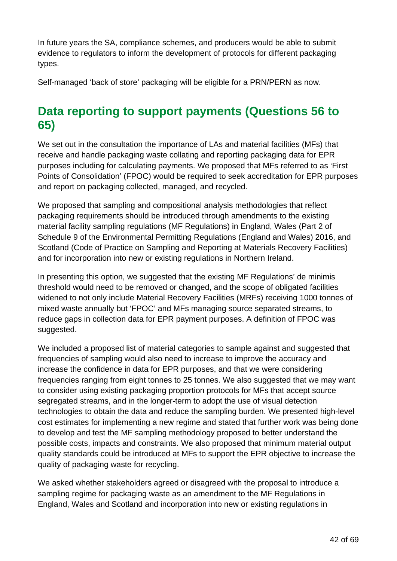In future years the SA, compliance schemes, and producers would be able to submit evidence to regulators to inform the development of protocols for different packaging types.

Self-managed 'back of store' packaging will be eligible for a PRN/PERN as now.

### <span id="page-41-0"></span>**Data reporting to support payments (Questions 56 to 65)**

We set out in the consultation the importance of LAs and material facilities (MFs) that receive and handle packaging waste collating and reporting packaging data for EPR purposes including for calculating payments. We proposed that MFs referred to as 'First Points of Consolidation' (FPOC) would be required to seek accreditation for EPR purposes and report on packaging collected, managed, and recycled.

We proposed that sampling and compositional analysis methodologies that reflect packaging requirements should be introduced through amendments to the existing material facility sampling regulations (MF Regulations) in England, Wales (Part 2 of Schedule 9 of the Environmental Permitting Regulations (England and Wales) 2016, and Scotland (Code of Practice on Sampling and Reporting at Materials Recovery Facilities) and for incorporation into new or existing regulations in Northern Ireland.

In presenting this option, we suggested that the existing MF Regulations' de minimis threshold would need to be removed or changed, and the scope of obligated facilities widened to not only include Material Recovery Facilities (MRFs) receiving 1000 tonnes of mixed waste annually but 'FPOC' and MFs managing source separated streams, to reduce gaps in collection data for EPR payment purposes. A definition of FPOC was suggested.

We included a proposed list of material categories to sample against and suggested that frequencies of sampling would also need to increase to improve the accuracy and increase the confidence in data for EPR purposes, and that we were considering frequencies ranging from eight tonnes to 25 tonnes. We also suggested that we may want to consider using existing packaging proportion protocols for MFs that accept source segregated streams, and in the longer-term to adopt the use of visual detection technologies to obtain the data and reduce the sampling burden. We presented high-level cost estimates for implementing a new regime and stated that further work was being done to develop and test the MF sampling methodology proposed to better understand the possible costs, impacts and constraints. We also proposed that minimum material output quality standards could be introduced at MFs to support the EPR objective to increase the quality of packaging waste for recycling.

We asked whether stakeholders agreed or disagreed with the proposal to introduce a sampling regime for packaging waste as an amendment to the MF Regulations in England, Wales and Scotland and incorporation into new or existing regulations in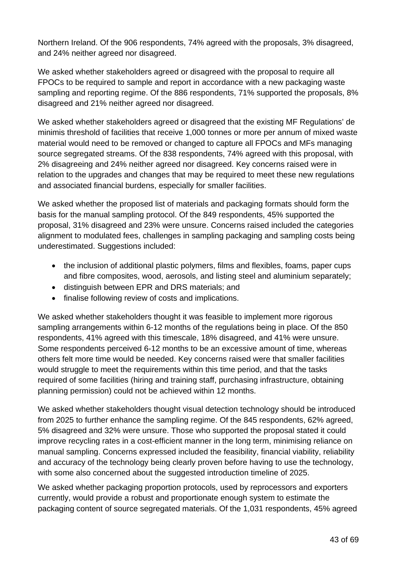Northern Ireland. Of the 906 respondents, 74% agreed with the proposals, 3% disagreed, and 24% neither agreed nor disagreed.

We asked whether stakeholders agreed or disagreed with the proposal to require all FPOCs to be required to sample and report in accordance with a new packaging waste sampling and reporting regime. Of the 886 respondents, 71% supported the proposals, 8% disagreed and 21% neither agreed nor disagreed.

We asked whether stakeholders agreed or disagreed that the existing MF Regulations' de minimis threshold of facilities that receive 1,000 tonnes or more per annum of mixed waste material would need to be removed or changed to capture all FPOCs and MFs managing source segregated streams. Of the 838 respondents, 74% agreed with this proposal, with 2% disagreeing and 24% neither agreed nor disagreed. Key concerns raised were in relation to the upgrades and changes that may be required to meet these new regulations and associated financial burdens, especially for smaller facilities.

We asked whether the proposed list of materials and packaging formats should form the basis for the manual sampling protocol. Of the 849 respondents, 45% supported the proposal, 31% disagreed and 23% were unsure. Concerns raised included the categories alignment to modulated fees, challenges in sampling packaging and sampling costs being underestimated. Suggestions included:

- the inclusion of additional plastic polymers, films and flexibles, foams, paper cups and fibre composites, wood, aerosols, and listing steel and aluminium separately;
- distinguish between EPR and DRS materials; and
- finalise following review of costs and implications.

We asked whether stakeholders thought it was feasible to implement more rigorous sampling arrangements within 6-12 months of the regulations being in place. Of the 850 respondents, 41% agreed with this timescale, 18% disagreed, and 41% were unsure. Some respondents perceived 6-12 months to be an excessive amount of time, whereas others felt more time would be needed. Key concerns raised were that smaller facilities would struggle to meet the requirements within this time period, and that the tasks required of some facilities (hiring and training staff, purchasing infrastructure, obtaining planning permission) could not be achieved within 12 months.

We asked whether stakeholders thought visual detection technology should be introduced from 2025 to further enhance the sampling regime. Of the 845 respondents, 62% agreed, 5% disagreed and 32% were unsure. Those who supported the proposal stated it could improve recycling rates in a cost-efficient manner in the long term, minimising reliance on manual sampling. Concerns expressed included the feasibility, financial viability, reliability and accuracy of the technology being clearly proven before having to use the technology, with some also concerned about the suggested introduction timeline of 2025.

We asked whether packaging proportion protocols, used by reprocessors and exporters currently, would provide a robust and proportionate enough system to estimate the packaging content of source segregated materials. Of the 1,031 respondents, 45% agreed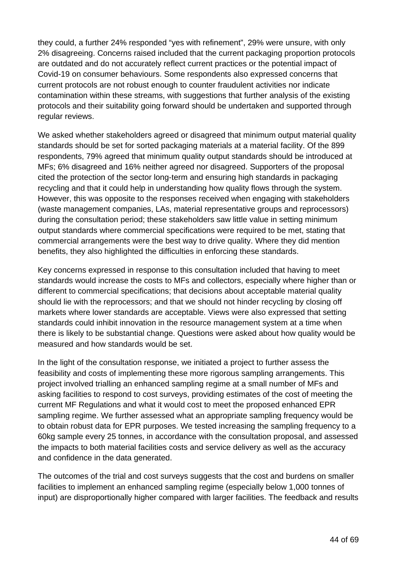they could, a further 24% responded "yes with refinement", 29% were unsure, with only 2% disagreeing. Concerns raised included that the current packaging proportion protocols are outdated and do not accurately reflect current practices or the potential impact of Covid-19 on consumer behaviours. Some respondents also expressed concerns that current protocols are not robust enough to counter fraudulent activities nor indicate contamination within these streams, with suggestions that further analysis of the existing protocols and their suitability going forward should be undertaken and supported through regular reviews.

We asked whether stakeholders agreed or disagreed that minimum output material quality standards should be set for sorted packaging materials at a material facility. Of the 899 respondents, 79% agreed that minimum quality output standards should be introduced at MFs; 6% disagreed and 16% neither agreed nor disagreed. Supporters of the proposal cited the protection of the sector long-term and ensuring high standards in packaging recycling and that it could help in understanding how quality flows through the system. However, this was opposite to the responses received when engaging with stakeholders (waste management companies, LAs, material representative groups and reprocessors) during the consultation period; these stakeholders saw little value in setting minimum output standards where commercial specifications were required to be met, stating that commercial arrangements were the best way to drive quality. Where they did mention benefits, they also highlighted the difficulties in enforcing these standards.

Key concerns expressed in response to this consultation included that having to meet standards would increase the costs to MFs and collectors, especially where higher than or different to commercial specifications; that decisions about acceptable material quality should lie with the reprocessors; and that we should not hinder recycling by closing off markets where lower standards are acceptable. Views were also expressed that setting standards could inhibit innovation in the resource management system at a time when there is likely to be substantial change. Questions were asked about how quality would be measured and how standards would be set.

In the light of the consultation response, we initiated a project to further assess the feasibility and costs of implementing these more rigorous sampling arrangements. This project involved trialling an enhanced sampling regime at a small number of MFs and asking facilities to respond to cost surveys, providing estimates of the cost of meeting the current MF Regulations and what it would cost to meet the proposed enhanced EPR sampling regime. We further assessed what an appropriate sampling frequency would be to obtain robust data for EPR purposes. We tested increasing the sampling frequency to a 60kg sample every 25 tonnes, in accordance with the consultation proposal, and assessed the impacts to both material facilities costs and service delivery as well as the accuracy and confidence in the data generated.

The outcomes of the trial and cost surveys suggests that the cost and burdens on smaller facilities to implement an enhanced sampling regime (especially below 1,000 tonnes of input) are disproportionally higher compared with larger facilities. The feedback and results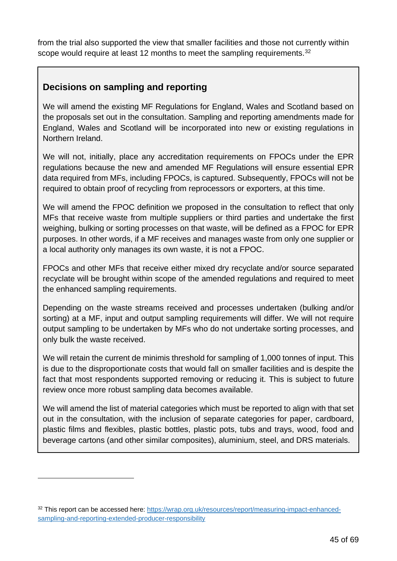from the trial also supported the view that smaller facilities and those not currently within scope would require at least 12 months to meet the sampling requirements.<sup>[32](#page-44-0)</sup>

#### **Decisions on sampling and reporting**

We will amend the existing MF Regulations for England, Wales and Scotland based on the proposals set out in the consultation. Sampling and reporting amendments made for England, Wales and Scotland will be incorporated into new or existing regulations in Northern Ireland.

We will not, initially, place any accreditation requirements on FPOCs under the EPR regulations because the new and amended MF Regulations will ensure essential EPR data required from MFs, including FPOCs, is captured. Subsequently, FPOCs will not be required to obtain proof of recycling from reprocessors or exporters, at this time.

We will amend the FPOC definition we proposed in the consultation to reflect that only MFs that receive waste from multiple suppliers or third parties and undertake the first weighing, bulking or sorting processes on that waste, will be defined as a FPOC for EPR purposes. In other words, if a MF receives and manages waste from only one supplier or a local authority only manages its own waste, it is not a FPOC.

FPOCs and other MFs that receive either mixed dry recyclate and/or source separated recyclate will be brought within scope of the amended regulations and required to meet the enhanced sampling requirements.

Depending on the waste streams received and processes undertaken (bulking and/or sorting) at a MF, input and output sampling requirements will differ. We will not require output sampling to be undertaken by MFs who do not undertake sorting processes, and only bulk the waste received.

We will retain the current de minimis threshold for sampling of 1,000 tonnes of input. This is due to the disproportionate costs that would fall on smaller facilities and is despite the fact that most respondents supported removing or reducing it. This is subject to future review once more robust sampling data becomes available.

We will amend the list of material categories which must be reported to align with that set out in the consultation, with the inclusion of separate categories for paper, cardboard, plastic films and flexibles, plastic bottles, plastic pots, tubs and trays, wood, food and beverage cartons (and other similar composites), aluminium, steel, and DRS materials.

<span id="page-44-0"></span><sup>32</sup> This report can be accessed here: [https://wrap.org.uk/resources/report/measuring-impact-enhanced](https://eur03.safelinks.protection.outlook.com/?url=https%3A%2F%2Fwrap.org.uk%2Fresources%2Freport%2Fmeasuring-impact-enhanced-sampling-and-reporting-extended-producer-responsibility&data=04%7C01%7CClara.Owens%40defra.gov.uk%7C32b95e8c3d8a4a7d584f08da01daafa2%7C770a245002274c6290c74e38537f1102%7C0%7C0%7C637824336028154026%7CUnknown%7CTWFpbGZsb3d8eyJWIjoiMC4wLjAwMDAiLCJQIjoiV2luMzIiLCJBTiI6Ik1haWwiLCJXVCI6Mn0%3D%7C3000&sdata=%2FAcVOTAUXGUSmmIyrH1ouowIqII3Jn5i73ayJIRJQmA%3D&reserved=0)[sampling-and-reporting-extended-producer-responsibility](https://eur03.safelinks.protection.outlook.com/?url=https%3A%2F%2Fwrap.org.uk%2Fresources%2Freport%2Fmeasuring-impact-enhanced-sampling-and-reporting-extended-producer-responsibility&data=04%7C01%7CClara.Owens%40defra.gov.uk%7C32b95e8c3d8a4a7d584f08da01daafa2%7C770a245002274c6290c74e38537f1102%7C0%7C0%7C637824336028154026%7CUnknown%7CTWFpbGZsb3d8eyJWIjoiMC4wLjAwMDAiLCJQIjoiV2luMzIiLCJBTiI6Ik1haWwiLCJXVCI6Mn0%3D%7C3000&sdata=%2FAcVOTAUXGUSmmIyrH1ouowIqII3Jn5i73ayJIRJQmA%3D&reserved=0)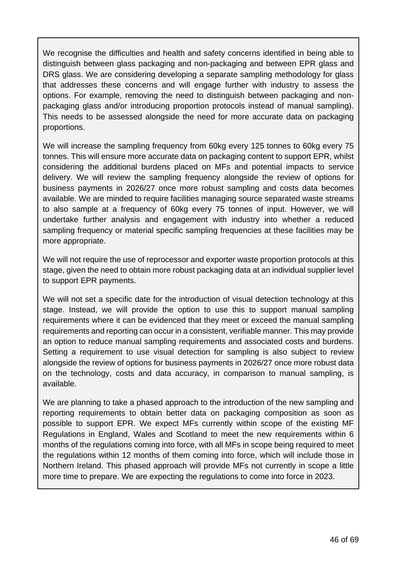We recognise the difficulties and health and safety concerns identified in being able to distinguish between glass packaging and non-packaging and between EPR glass and DRS glass. We are considering developing a separate sampling methodology for glass that addresses these concerns and will engage further with industry to assess the options. For example, removing the need to distinguish between packaging and nonpackaging glass and/or introducing proportion protocols instead of manual sampling). This needs to be assessed alongside the need for more accurate data on packaging proportions.

We will increase the sampling frequency from 60kg every 125 tonnes to 60kg every 75 tonnes. This will ensure more accurate data on packaging content to support EPR, whilst considering the additional burdens placed on MFs and potential impacts to service delivery. We will review the sampling frequency alongside the review of options for business payments in 2026/27 once more robust sampling and costs data becomes available. We are minded to require facilities managing source separated waste streams to also sample at a frequency of 60kg every 75 tonnes of input. However, we will undertake further analysis and engagement with industry into whether a reduced sampling frequency or material specific sampling frequencies at these facilities may be more appropriate.

We will not require the use of reprocessor and exporter waste proportion protocols at this stage, given the need to obtain more robust packaging data at an individual supplier level to support EPR payments.

We will not set a specific date for the introduction of visual detection technology at this stage. Instead, we will provide the option to use this to support manual sampling requirements where it can be evidenced that they meet or exceed the manual sampling requirements and reporting can occur in a consistent, verifiable manner. This may provide an option to reduce manual sampling requirements and associated costs and burdens. Setting a requirement to use visual detection for sampling is also subject to review alongside the review of options for business payments in 2026/27 once more robust data on the technology, costs and data accuracy, in comparison to manual sampling, is available.

We are planning to take a phased approach to the introduction of the new sampling and reporting requirements to obtain better data on packaging composition as soon as possible to support EPR. We expect MFs currently within scope of the existing MF Regulations in England, Wales and Scotland to meet the new requirements within 6 months of the regulations coming into force, with all MFs in scope being required to meet the regulations within 12 months of them coming into force, which will include those in Northern Ireland. This phased approach will provide MFs not currently in scope a little more time to prepare. We are expecting the regulations to come into force in 2023.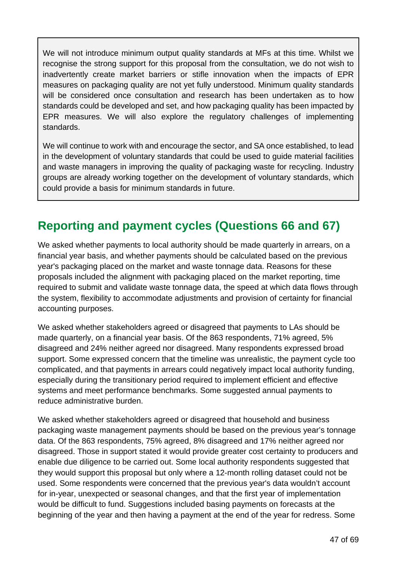We will not introduce minimum output quality standards at MFs at this time. Whilst we recognise the strong support for this proposal from the consultation, we do not wish to inadvertently create market barriers or stifle innovation when the impacts of EPR measures on packaging quality are not yet fully understood. Minimum quality standards will be considered once consultation and research has been undertaken as to how standards could be developed and set, and how packaging quality has been impacted by EPR measures. We will also explore the regulatory challenges of implementing standards.

We will continue to work with and encourage the sector, and SA once established, to lead in the development of voluntary standards that could be used to guide material facilities and waste managers in improving the quality of packaging waste for recycling. Industry groups are already working together on the development of voluntary standards, which could provide a basis for minimum standards in future.

### <span id="page-46-0"></span>**Reporting and payment cycles (Questions 66 and 67)**

We asked whether payments to local authority should be made quarterly in arrears, on a financial year basis, and whether payments should be calculated based on the previous year's packaging placed on the market and waste tonnage data. Reasons for these proposals included the alignment with packaging placed on the market reporting, time required to submit and validate waste tonnage data, the speed at which data flows through the system, flexibility to accommodate adjustments and provision of certainty for financial accounting purposes.

We asked whether stakeholders agreed or disagreed that payments to LAs should be made quarterly, on a financial year basis. Of the 863 respondents, 71% agreed, 5% disagreed and 24% neither agreed nor disagreed. Many respondents expressed broad support. Some expressed concern that the timeline was unrealistic, the payment cycle too complicated, and that payments in arrears could negatively impact local authority funding, especially during the transitionary period required to implement efficient and effective systems and meet performance benchmarks. Some suggested annual payments to reduce administrative burden.

We asked whether stakeholders agreed or disagreed that household and business packaging waste management payments should be based on the previous year's tonnage data. Of the 863 respondents, 75% agreed, 8% disagreed and 17% neither agreed nor disagreed. Those in support stated it would provide greater cost certainty to producers and enable due diligence to be carried out. Some local authority respondents suggested that they would support this proposal but only where a 12-month rolling dataset could not be used. Some respondents were concerned that the previous year's data wouldn't account for in-year, unexpected or seasonal changes, and that the first year of implementation would be difficult to fund. Suggestions included basing payments on forecasts at the beginning of the year and then having a payment at the end of the year for redress. Some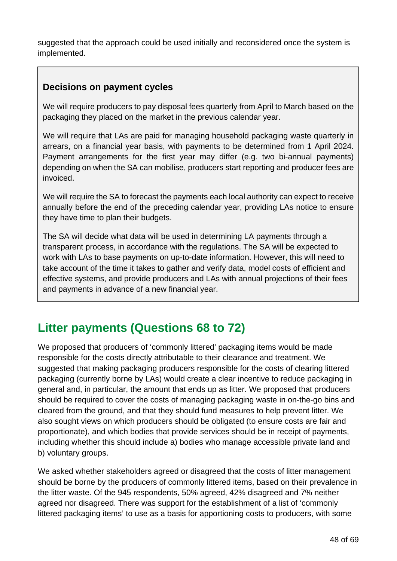suggested that the approach could be used initially and reconsidered once the system is implemented.

#### **Decisions on payment cycles**

We will require producers to pay disposal fees quarterly from April to March based on the packaging they placed on the market in the previous calendar year.

We will require that LAs are paid for managing household packaging waste quarterly in arrears, on a financial year basis, with payments to be determined from 1 April 2024. Payment arrangements for the first year may differ (e.g. two bi-annual payments) depending on when the SA can mobilise, producers start reporting and producer fees are invoiced.

We will require the SA to forecast the payments each local authority can expect to receive annually before the end of the preceding calendar year, providing LAs notice to ensure they have time to plan their budgets.

The SA will decide what data will be used in determining LA payments through a transparent process, in accordance with the regulations. The SA will be expected to work with LAs to base payments on up-to-date information. However, this will need to take account of the time it takes to gather and verify data, model costs of efficient and effective systems, and provide producers and LAs with annual projections of their fees and payments in advance of a new financial year.

### <span id="page-47-0"></span>**Litter payments (Questions 68 to 72)**

We proposed that producers of 'commonly littered' packaging items would be made responsible for the costs directly attributable to their clearance and treatment. We suggested that making packaging producers responsible for the costs of clearing littered packaging (currently borne by LAs) would create a clear incentive to reduce packaging in general and, in particular, the amount that ends up as litter. We proposed that producers should be required to cover the costs of managing packaging waste in on-the-go bins and cleared from the ground, and that they should fund measures to help prevent litter. We also sought views on which producers should be obligated (to ensure costs are fair and proportionate), and which bodies that provide services should be in receipt of payments, including whether this should include a) bodies who manage accessible private land and b) voluntary groups.

We asked whether stakeholders agreed or disagreed that the costs of litter management should be borne by the producers of commonly littered items, based on their prevalence in the litter waste. Of the 945 respondents, 50% agreed, 42% disagreed and 7% neither agreed nor disagreed. There was support for the establishment of a list of 'commonly littered packaging items' to use as a basis for apportioning costs to producers, with some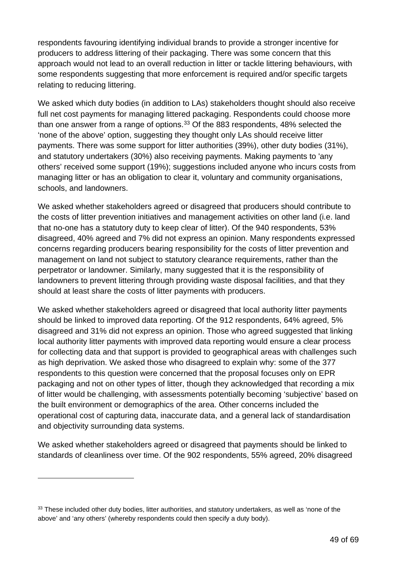respondents favouring identifying individual brands to provide a stronger incentive for producers to address littering of their packaging. There was some concern that this approach would not lead to an overall reduction in litter or tackle littering behaviours, with some respondents suggesting that more enforcement is required and/or specific targets relating to reducing littering.

We asked which duty bodies (in addition to LAs) stakeholders thought should also receive full net cost payments for managing littered packaging. Respondents could choose more than one answer from a range of options.<sup>[33](#page-48-0)</sup> Of the 883 respondents, 48% selected the 'none of the above' option, suggesting they thought only LAs should receive litter payments. There was some support for litter authorities (39%), other duty bodies (31%), and statutory undertakers (30%) also receiving payments. Making payments to 'any others' received some support (19%); suggestions included anyone who incurs costs from managing litter or has an obligation to clear it, voluntary and community organisations, schools, and landowners.

We asked whether stakeholders agreed or disagreed that producers should contribute to the costs of litter prevention initiatives and management activities on other land (i.e. land that no-one has a statutory duty to keep clear of litter). Of the 940 respondents, 53% disagreed, 40% agreed and 7% did not express an opinion. Many respondents expressed concerns regarding producers bearing responsibility for the costs of litter prevention and management on land not subject to statutory clearance requirements, rather than the perpetrator or landowner. Similarly, many suggested that it is the responsibility of landowners to prevent littering through providing waste disposal facilities, and that they should at least share the costs of litter payments with producers.

We asked whether stakeholders agreed or disagreed that local authority litter payments should be linked to improved data reporting. Of the 912 respondents, 64% agreed, 5% disagreed and 31% did not express an opinion. Those who agreed suggested that linking local authority litter payments with improved data reporting would ensure a clear process for collecting data and that support is provided to geographical areas with challenges such as high deprivation. We asked those who disagreed to explain why: some of the 377 respondents to this question were concerned that the proposal focuses only on EPR packaging and not on other types of litter, though they acknowledged that recording a mix of litter would be challenging, with assessments potentially becoming 'subjective' based on the built environment or demographics of the area. Other concerns included the operational cost of capturing data, inaccurate data, and a general lack of standardisation and objectivity surrounding data systems.

We asked whether stakeholders agreed or disagreed that payments should be linked to standards of cleanliness over time. Of the 902 respondents, 55% agreed, 20% disagreed

<span id="page-48-0"></span><sup>&</sup>lt;sup>33</sup> These included other duty bodies, litter authorities, and statutory undertakers, as well as 'none of the above' and 'any others' (whereby respondents could then specify a duty body).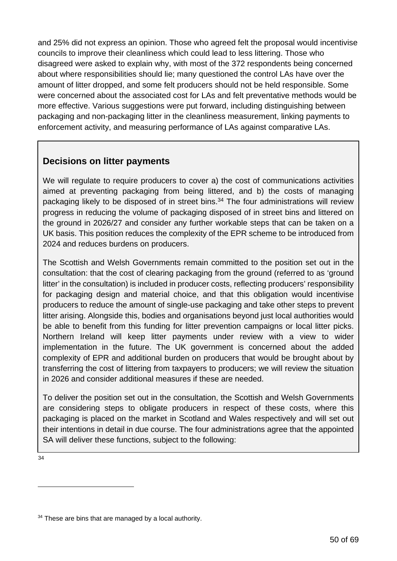and 25% did not express an opinion. Those who agreed felt the proposal would incentivise councils to improve their cleanliness which could lead to less littering. Those who disagreed were asked to explain why, with most of the 372 respondents being concerned about where responsibilities should lie; many questioned the control LAs have over the amount of litter dropped, and some felt producers should not be held responsible. Some were concerned about the associated cost for LAs and felt preventative methods would be more effective. Various suggestions were put forward, including distinguishing between packaging and non-packaging litter in the cleanliness measurement, linking payments to enforcement activity, and measuring performance of LAs against comparative LAs.

#### **Decisions on litter payments**

We will regulate to require producers to cover a) the cost of communications activities aimed at preventing packaging from being littered, and b) the costs of managing packaging likely to be disposed of in street bins. <sup>34</sup> The four administrations will review progress in reducing the volume of packaging disposed of in street bins and littered on the ground in 2026/27 and consider any further workable steps that can be taken on a UK basis. This position reduces the complexity of the EPR scheme to be introduced from 2024 and reduces burdens on producers.

The Scottish and Welsh Governments remain committed to the position set out in the consultation: that the cost of clearing packaging from the ground (referred to as 'ground litter' in the consultation) is included in producer costs, reflecting producers' responsibility for packaging design and material choice, and that this obligation would incentivise producers to reduce the amount of single-use packaging and take other steps to prevent litter arising. Alongside this, bodies and organisations beyond just local authorities would be able to benefit from this funding for litter prevention campaigns or local litter picks. Northern Ireland will keep litter payments under review with a view to wider implementation in the future. The UK government is concerned about the added complexity of EPR and additional burden on producers that would be brought about by transferring the cost of littering from taxpayers to producers; we will review the situation in 2026 and consider additional measures if these are needed.

To deliver the position set out in the consultation, the Scottish and Welsh Governments are considering steps to obligate producers in respect of these costs, where this packaging is placed on the market in Scotland and Wales respectively and will set out their intentions in detail in due course. The four administrations agree that the appointed SA will deliver these functions, subject to the following:

[34](#page-49-0)

<span id="page-49-0"></span><sup>&</sup>lt;sup>34</sup> These are bins that are managed by a local authority.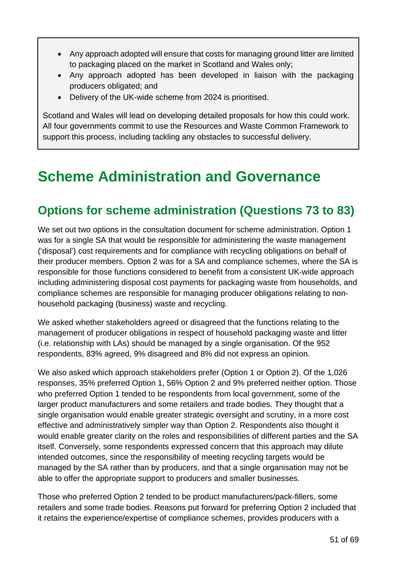- Any approach adopted will ensure that costs for managing ground litter are limited to packaging placed on the market in Scotland and Wales only;
- Any approach adopted has been developed in liaison with the packaging producers obligated; and
- Delivery of the UK-wide scheme from 2024 is prioritised.

Scotland and Wales will lead on developing detailed proposals for how this could work. All four governments commit to use the Resources and Waste Common Framework to support this process, including tackling any obstacles to successful delivery.

# <span id="page-50-0"></span>**Scheme Administration and Governance**

### <span id="page-50-1"></span>**Options for scheme administration (Questions 73 to 83)**

We set out two options in the consultation document for scheme administration. Option 1 was for a single SA that would be responsible for administering the waste management ('disposal') cost requirements and for compliance with recycling obligations on behalf of their producer members. Option 2 was for a SA and compliance schemes, where the SA is responsible for those functions considered to benefit from a consistent UK-wide approach including administering disposal cost payments for packaging waste from households, and compliance schemes are responsible for managing producer obligations relating to nonhousehold packaging (business) waste and recycling.

We asked whether stakeholders agreed or disagreed that the functions relating to the management of producer obligations in respect of household packaging waste and litter (i.e. relationship with LAs) should be managed by a single organisation. Of the 952 respondents, 83% agreed, 9% disagreed and 8% did not express an opinion.

We also asked which approach stakeholders prefer (Option 1 or Option 2). Of the 1,026 responses, 35% preferred Option 1, 56% Option 2 and 9% preferred neither option. Those who preferred Option 1 tended to be respondents from local government, some of the larger product manufacturers and some retailers and trade bodies. They thought that a single organisation would enable greater strategic oversight and scrutiny, in a more cost effective and administratively simpler way than Option 2. Respondents also thought it would enable greater clarity on the roles and responsibilities of different parties and the SA itself. Conversely, some respondents expressed concern that this approach may dilute intended outcomes, since the responsibility of meeting recycling targets would be managed by the SA rather than by producers, and that a single organisation may not be able to offer the appropriate support to producers and smaller businesses.

Those who preferred Option 2 tended to be product manufacturers/pack-fillers, some retailers and some trade bodies. Reasons put forward for preferring Option 2 included that it retains the experience/expertise of compliance schemes, provides producers with a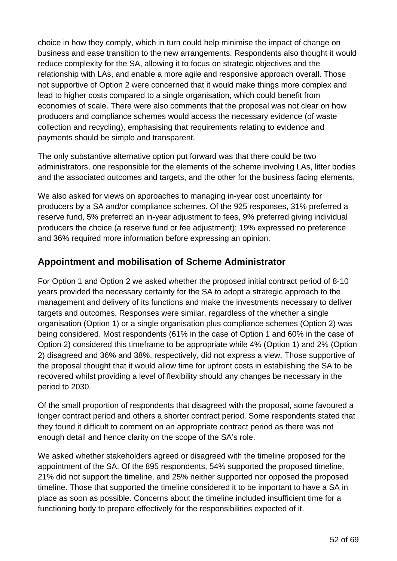choice in how they comply, which in turn could help minimise the impact of change on business and ease transition to the new arrangements. Respondents also thought it would reduce complexity for the SA, allowing it to focus on strategic objectives and the relationship with LAs, and enable a more agile and responsive approach overall. Those not supportive of Option 2 were concerned that it would make things more complex and lead to higher costs compared to a single organisation, which could benefit from economies of scale. There were also comments that the proposal was not clear on how producers and compliance schemes would access the necessary evidence (of waste collection and recycling), emphasising that requirements relating to evidence and payments should be simple and transparent.

The only substantive alternative option put forward was that there could be two administrators, one responsible for the elements of the scheme involving LAs, litter bodies and the associated outcomes and targets, and the other for the business facing elements.

We also asked for views on approaches to managing in-year cost uncertainty for producers by a SA and/or compliance schemes. Of the 925 responses, 31% preferred a reserve fund, 5% preferred an in-year adjustment to fees, 9% preferred giving individual producers the choice (a reserve fund or fee adjustment); 19% expressed no preference and 36% required more information before expressing an opinion.

#### **Appointment and mobilisation of Scheme Administrator**

For Option 1 and Option 2 we asked whether the proposed initial contract period of 8-10 years provided the necessary certainty for the SA to adopt a strategic approach to the management and delivery of its functions and make the investments necessary to deliver targets and outcomes. Responses were similar, regardless of the whether a single organisation (Option 1) or a single organisation plus compliance schemes (Option 2) was being considered. Most respondents (61% in the case of Option 1 and 60% in the case of Option 2) considered this timeframe to be appropriate while 4% (Option 1) and 2% (Option 2) disagreed and 36% and 38%, respectively, did not express a view. Those supportive of the proposal thought that it would allow time for upfront costs in establishing the SA to be recovered whilst providing a level of flexibility should any changes be necessary in the period to 2030.

Of the small proportion of respondents that disagreed with the proposal, some favoured a longer contract period and others a shorter contract period. Some respondents stated that they found it difficult to comment on an appropriate contract period as there was not enough detail and hence clarity on the scope of the SA's role.

We asked whether stakeholders agreed or disagreed with the timeline proposed for the appointment of the SA. Of the 895 respondents, 54% supported the proposed timeline, 21% did not support the timeline, and 25% neither supported nor opposed the proposed timeline. Those that supported the timeline considered it to be important to have a SA in place as soon as possible. Concerns about the timeline included insufficient time for a functioning body to prepare effectively for the responsibilities expected of it.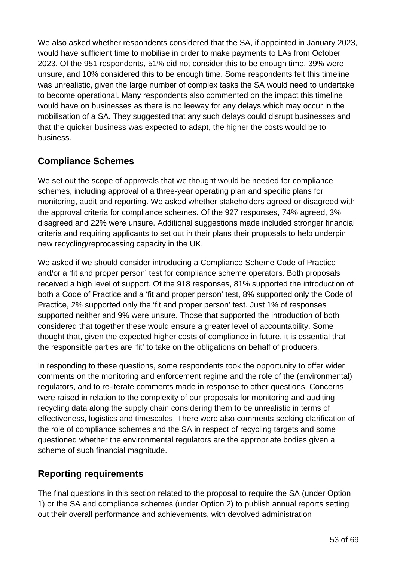We also asked whether respondents considered that the SA, if appointed in January 2023, would have sufficient time to mobilise in order to make payments to LAs from October 2023. Of the 951 respondents, 51% did not consider this to be enough time, 39% were unsure, and 10% considered this to be enough time. Some respondents felt this timeline was unrealistic, given the large number of complex tasks the SA would need to undertake to become operational. Many respondents also commented on the impact this timeline would have on businesses as there is no leeway for any delays which may occur in the mobilisation of a SA. They suggested that any such delays could disrupt businesses and that the quicker business was expected to adapt, the higher the costs would be to business.

#### **Compliance Schemes**

We set out the scope of approvals that we thought would be needed for compliance schemes, including approval of a three-year operating plan and specific plans for monitoring, audit and reporting. We asked whether stakeholders agreed or disagreed with the approval criteria for compliance schemes. Of the 927 responses, 74% agreed, 3% disagreed and 22% were unsure. Additional suggestions made included stronger financial criteria and requiring applicants to set out in their plans their proposals to help underpin new recycling/reprocessing capacity in the UK.

We asked if we should consider introducing a Compliance Scheme Code of Practice and/or a 'fit and proper person' test for compliance scheme operators. Both proposals received a high level of support. Of the 918 responses, 81% supported the introduction of both a Code of Practice and a 'fit and proper person' test, 8% supported only the Code of Practice, 2% supported only the 'fit and proper person' test. Just 1% of responses supported neither and 9% were unsure. Those that supported the introduction of both considered that together these would ensure a greater level of accountability. Some thought that, given the expected higher costs of compliance in future, it is essential that the responsible parties are 'fit' to take on the obligations on behalf of producers.

In responding to these questions, some respondents took the opportunity to offer wider comments on the monitoring and enforcement regime and the role of the (environmental) regulators, and to re-iterate comments made in response to other questions. Concerns were raised in relation to the complexity of our proposals for monitoring and auditing recycling data along the supply chain considering them to be unrealistic in terms of effectiveness, logistics and timescales. There were also comments seeking clarification of the role of compliance schemes and the SA in respect of recycling targets and some questioned whether the environmental regulators are the appropriate bodies given a scheme of such financial magnitude.

#### **Reporting requirements**

The final questions in this section related to the proposal to require the SA (under Option 1) or the SA and compliance schemes (under Option 2) to publish annual reports setting out their overall performance and achievements, with devolved administration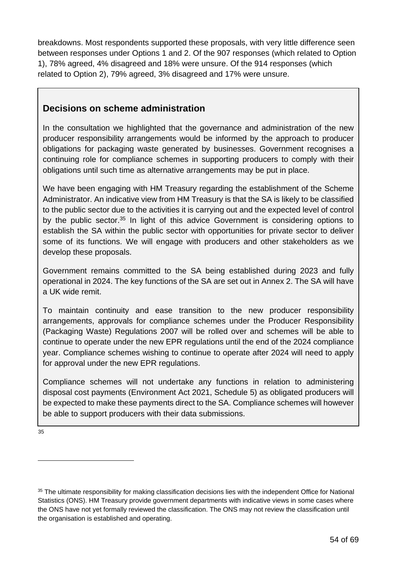breakdowns. Most respondents supported these proposals, with very little difference seen between responses under Options 1 and 2. Of the 907 responses (which related to Option 1), 78% agreed, 4% disagreed and 18% were unsure. Of the 914 responses (which related to Option 2), 79% agreed, 3% disagreed and 17% were unsure.

#### **Decisions on scheme administration**

In the consultation we highlighted that the governance and administration of the new producer responsibility arrangements would be informed by the approach to producer obligations for packaging waste generated by businesses. Government recognises a continuing role for compliance schemes in supporting producers to comply with their obligations until such time as alternative arrangements may be put in place.

We have been engaging with HM Treasury regarding the establishment of the Scheme Administrator. An indicative view from HM Treasury is that the SA is likely to be classified to the public sector due to the activities it is carrying out and the expected level of control by the public sector.<sup>35</sup> In light of this advice Government is considering options to establish the SA within the public sector with opportunities for private sector to deliver some of its functions. We will engage with producers and other stakeholders as we develop these proposals.

Government remains committed to the SA being established during 2023 and fully operational in 2024. The key functions of the SA are set out in Annex 2. The SA will have a UK wide remit.

To maintain continuity and ease transition to the new producer responsibility arrangements, approvals for compliance schemes under the Producer Responsibility (Packaging Waste) Regulations 2007 will be rolled over and schemes will be able to continue to operate under the new EPR regulations until the end of the 2024 compliance year. Compliance schemes wishing to continue to operate after 2024 will need to apply for approval under the new EPR regulations.

Compliance schemes will not undertake any functions in relation to administering disposal cost payments (Environment Act 2021, Schedule 5) as obligated producers will be expected to make these payments direct to the SA. Compliance schemes will however be able to support producers with their data submissions.

[35](#page-53-0)

<span id="page-53-0"></span><sup>&</sup>lt;sup>35</sup> The ultimate responsibility for making classification decisions lies with the independent Office for National Statistics (ONS). HM Treasury provide government departments with indicative views in some cases where the ONS have not yet formally reviewed the classification. The ONS may not review the classification until the organisation is established and operating.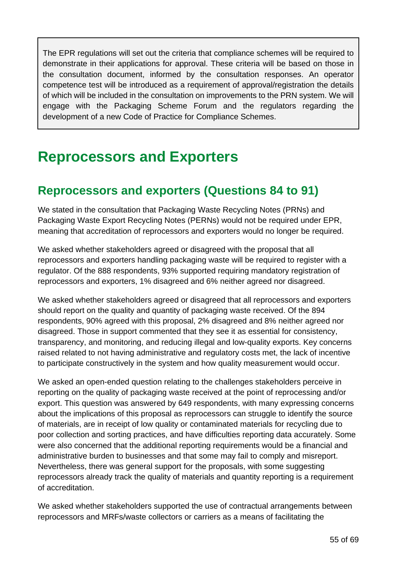The EPR regulations will set out the criteria that compliance schemes will be required to demonstrate in their applications for approval. These criteria will be based on those in the consultation document, informed by the consultation responses. An operator competence test will be introduced as a requirement of approval/registration the details of which will be included in the consultation on improvements to the PRN system. We will engage with the Packaging Scheme Forum and the regulators regarding the development of a new Code of Practice for Compliance Schemes.

## <span id="page-54-0"></span>**Reprocessors and Exporters**

### <span id="page-54-1"></span>**Reprocessors and exporters (Questions 84 to 91)**

We stated in the consultation that Packaging Waste Recycling Notes (PRNs) and Packaging Waste Export Recycling Notes (PERNs) would not be required under EPR, meaning that accreditation of reprocessors and exporters would no longer be required.

We asked whether stakeholders agreed or disagreed with the proposal that all reprocessors and exporters handling packaging waste will be required to register with a regulator. Of the 888 respondents, 93% supported requiring mandatory registration of reprocessors and exporters, 1% disagreed and 6% neither agreed nor disagreed.

We asked whether stakeholders agreed or disagreed that all reprocessors and exporters should report on the quality and quantity of packaging waste received. Of the 894 respondents, 90% agreed with this proposal, 2% disagreed and 8% neither agreed nor disagreed. Those in support commented that they see it as essential for consistency, transparency, and monitoring, and reducing illegal and low-quality exports. Key concerns raised related to not having administrative and regulatory costs met, the lack of incentive to participate constructively in the system and how quality measurement would occur.

We asked an open-ended question relating to the challenges stakeholders perceive in reporting on the quality of packaging waste received at the point of reprocessing and/or export. This question was answered by 649 respondents, with many expressing concerns about the implications of this proposal as reprocessors can struggle to identify the source of materials, are in receipt of low quality or contaminated materials for recycling due to poor collection and sorting practices, and have difficulties reporting data accurately. Some were also concerned that the additional reporting requirements would be a financial and administrative burden to businesses and that some may fail to comply and misreport. Nevertheless, there was general support for the proposals, with some suggesting reprocessors already track the quality of materials and quantity reporting is a requirement of accreditation.

We asked whether stakeholders supported the use of contractual arrangements between reprocessors and MRFs/waste collectors or carriers as a means of facilitating the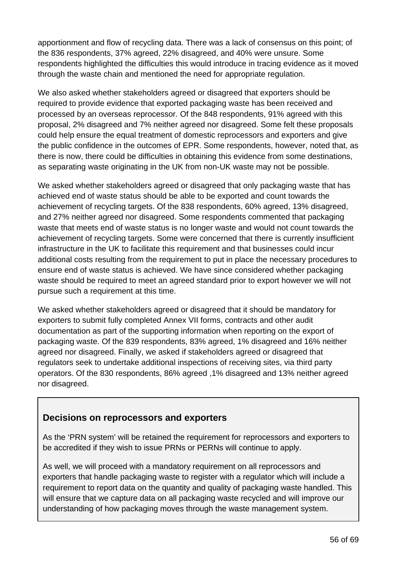apportionment and flow of recycling data. There was a lack of consensus on this point; of the 836 respondents, 37% agreed, 22% disagreed, and 40% were unsure. Some respondents highlighted the difficulties this would introduce in tracing evidence as it moved through the waste chain and mentioned the need for appropriate regulation.

We also asked whether stakeholders agreed or disagreed that exporters should be required to provide evidence that exported packaging waste has been received and processed by an overseas reprocessor. Of the 848 respondents, 91% agreed with this proposal, 2% disagreed and 7% neither agreed nor disagreed. Some felt these proposals could help ensure the equal treatment of domestic reprocessors and exporters and give the public confidence in the outcomes of EPR. Some respondents, however, noted that, as there is now, there could be difficulties in obtaining this evidence from some destinations, as separating waste originating in the UK from non-UK waste may not be possible.

We asked whether stakeholders agreed or disagreed that only packaging waste that has achieved end of waste status should be able to be exported and count towards the achievement of recycling targets. Of the 838 respondents, 60% agreed, 13% disagreed, and 27% neither agreed nor disagreed. Some respondents commented that packaging waste that meets end of waste status is no longer waste and would not count towards the achievement of recycling targets. Some were concerned that there is currently insufficient infrastructure in the UK to facilitate this requirement and that businesses could incur additional costs resulting from the requirement to put in place the necessary procedures to ensure end of waste status is achieved. We have since considered whether packaging waste should be required to meet an agreed standard prior to export however we will not pursue such a requirement at this time.

We asked whether stakeholders agreed or disagreed that it should be mandatory for exporters to submit fully completed Annex VII forms, contracts and other audit documentation as part of the supporting information when reporting on the export of packaging waste. Of the 839 respondents, 83% agreed, 1% disagreed and 16% neither agreed nor disagreed. Finally, we asked if stakeholders agreed or disagreed that regulators seek to undertake additional inspections of receiving sites, via third party operators. Of the 830 respondents, 86% agreed ,1% disagreed and 13% neither agreed nor disagreed.

#### **Decisions on reprocessors and exporters**

As the 'PRN system' will be retained the requirement for reprocessors and exporters to be accredited if they wish to issue PRNs or PERNs will continue to apply.

As well, we will proceed with a mandatory requirement on all reprocessors and exporters that handle packaging waste to register with a regulator which will include a requirement to report data on the quantity and quality of packaging waste handled. This will ensure that we capture data on all packaging waste recycled and will improve our understanding of how packaging moves through the waste management system.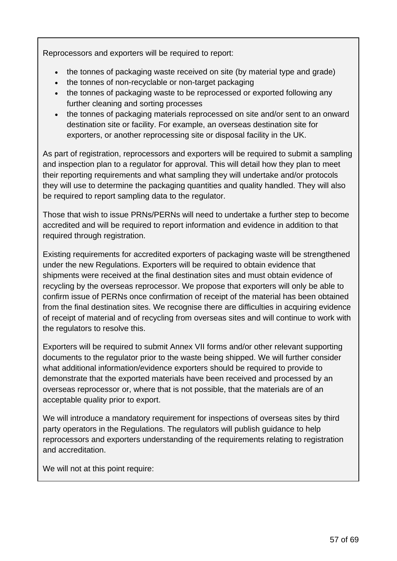Reprocessors and exporters will be required to report:

- the tonnes of packaging waste received on site (by material type and grade)
- the tonnes of non-recyclable or non-target packaging
- the tonnes of packaging waste to be reprocessed or exported following any further cleaning and sorting processes
- the tonnes of packaging materials reprocessed on site and/or sent to an onward destination site or facility. For example, an overseas destination site for exporters, or another reprocessing site or disposal facility in the UK.

As part of registration, reprocessors and exporters will be required to submit a sampling and inspection plan to a regulator for approval. This will detail how they plan to meet their reporting requirements and what sampling they will undertake and/or protocols they will use to determine the packaging quantities and quality handled. They will also be required to report sampling data to the regulator.

Those that wish to issue PRNs/PERNs will need to undertake a further step to become accredited and will be required to report information and evidence in addition to that required through registration.

Existing requirements for accredited exporters of packaging waste will be strengthened under the new Regulations. Exporters will be required to obtain evidence that shipments were received at the final destination sites and must obtain evidence of recycling by the overseas reprocessor. We propose that exporters will only be able to confirm issue of PERNs once confirmation of receipt of the material has been obtained from the final destination sites. We recognise there are difficulties in acquiring evidence of receipt of material and of recycling from overseas sites and will continue to work with the regulators to resolve this.

Exporters will be required to submit Annex VII forms and/or other relevant supporting documents to the regulator prior to the waste being shipped. We will further consider what additional information/evidence exporters should be required to provide to demonstrate that the exported materials have been received and processed by an overseas reprocessor or, where that is not possible, that the materials are of an acceptable quality prior to export.

We will introduce a mandatory requirement for inspections of overseas sites by third party operators in the Regulations. The regulators will publish guidance to help reprocessors and exporters understanding of the requirements relating to registration and accreditation.

We will not at this point require: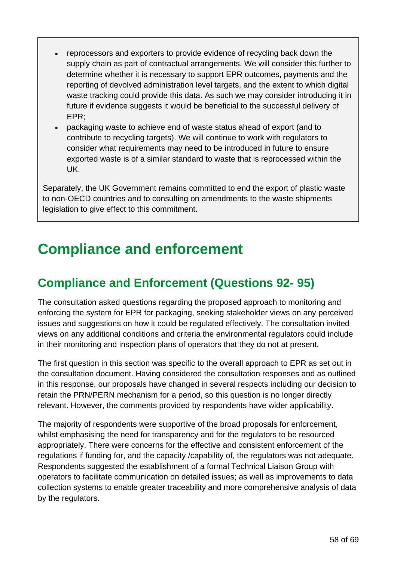- reprocessors and exporters to provide evidence of recycling back down the supply chain as part of contractual arrangements. We will consider this further to determine whether it is necessary to support EPR outcomes, payments and the reporting of devolved administration level targets, and the extent to which digital waste tracking could provide this data. As such we may consider introducing it in future if evidence suggests it would be beneficial to the successful delivery of EPR;
- packaging waste to achieve end of waste status ahead of export (and to contribute to recycling targets). We will continue to work with regulators to consider what requirements may need to be introduced in future to ensure exported waste is of a similar standard to waste that is reprocessed within the UK.

Separately, the UK Government remains committed to end the export of plastic waste to non-OECD countries and to consulting on amendments to the waste shipments legislation to give effect to this commitment.

# <span id="page-57-0"></span>**Compliance and enforcement**

### <span id="page-57-1"></span>**Compliance and Enforcement (Questions 92- 95)**

The consultation asked questions regarding the proposed approach to monitoring and enforcing the system for EPR for packaging, seeking stakeholder views on any perceived issues and suggestions on how it could be regulated effectively. The consultation invited views on any additional conditions and criteria the environmental regulators could include in their monitoring and inspection plans of operators that they do not at present.

The first question in this section was specific to the overall approach to EPR as set out in the consultation document. Having considered the consultation responses and as outlined in this response, our proposals have changed in several respects including our decision to retain the PRN/PERN mechanism for a period, so this question is no longer directly relevant. However, the comments provided by respondents have wider applicability.

The majority of respondents were supportive of the broad proposals for enforcement, whilst emphasising the need for transparency and for the regulators to be resourced appropriately. There were concerns for the effective and consistent enforcement of the regulations if funding for, and the capacity /capability of, the regulators was not adequate. Respondents suggested the establishment of a formal Technical Liaison Group with operators to facilitate communication on detailed issues; as well as improvements to data collection systems to enable greater traceability and more comprehensive analysis of data by the regulators.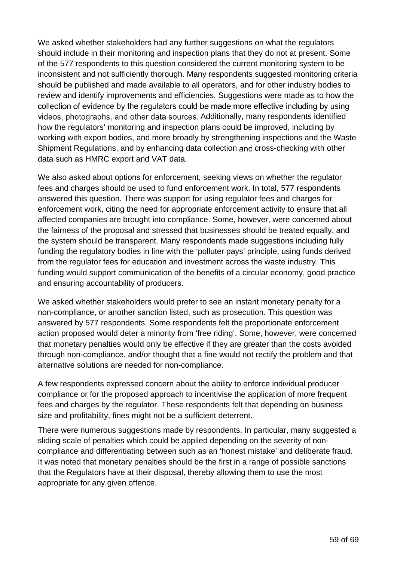We asked whether stakeholders had any further suggestions on what the regulators should include in their monitoring and inspection plans that they do not at present. Some of the 577 respondents to this question considered the current monitoring system to be inconsistent and not sufficiently thorough. Many respondents suggested monitoring criteria should be published and made available to all operators, and for other industry bodies to review and identify improvements and efficiencies. Suggestions were made as to how the collection of evidence by the regulators could be made more effective including by using videos, photographs, and other data sources. Additionally, many respondents identified how the regulators' monitoring and inspection plans could be improved, including by working with export bodies, and more broadly by strengthening inspections and the Waste Shipment Regulations, and by enhancing data collection and cross-checking with other data such as HMRC export and VAT data.

We also asked about options for enforcement, seeking views on whether the regulator fees and charges should be used to fund enforcement work. In total, 577 respondents answered this question. There was support for using regulator fees and charges for enforcement work, citing the need for appropriate enforcement activity to ensure that all affected companies are brought into compliance. Some, however, were concerned about the fairness of the proposal and stressed that businesses should be treated equally, and the system should be transparent. Many respondents made suggestions including fully funding the regulatory bodies in line with the 'polluter pays' principle, using funds derived from the regulator fees for education and investment across the waste industry. This funding would support communication of the benefits of a circular economy, good practice and ensuring accountability of producers.

We asked whether stakeholders would prefer to see an instant monetary penalty for a non-compliance, or another sanction listed, such as prosecution. This question was answered by 577 respondents. Some respondents felt the proportionate enforcement action proposed would deter a minority from 'free riding'. Some, however, were concerned that monetary penalties would only be effective if they are greater than the costs avoided through non-compliance, and/or thought that a fine would not rectify the problem and that alternative solutions are needed for non-compliance.

A few respondents expressed concern about the ability to enforce individual producer compliance or for the proposed approach to incentivise the application of more frequent fees and charges by the regulator. These respondents felt that depending on business size and profitability, fines might not be a sufficient deterrent.

There were numerous suggestions made by respondents. In particular, many suggested a sliding scale of penalties which could be applied depending on the severity of noncompliance and differentiating between such as an 'honest mistake' and deliberate fraud. It was noted that monetary penalties should be the first in a range of possible sanctions that the Regulators have at their disposal, thereby allowing them to use the most appropriate for any given offence.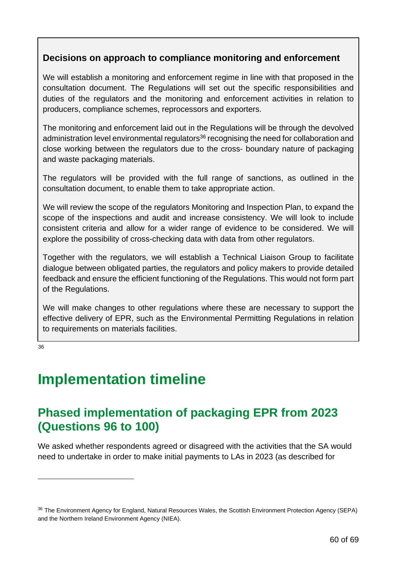#### **Decisions on approach to compliance monitoring and enforcement**

We will establish a monitoring and enforcement regime in line with that proposed in the consultation document. The Regulations will set out the specific responsibilities and duties of the regulators and the monitoring and enforcement activities in relation to producers, compliance schemes, reprocessors and exporters.

The monitoring and enforcement laid out in the Regulations will be through the devolved administration level environmental regulators<sup>36</sup> recognising the need for collaboration and close working between the regulators due to the cross- boundary nature of packaging and waste packaging materials.

The regulators will be provided with the full range of sanctions, as outlined in the consultation document, to enable them to take appropriate action.

We will review the scope of the regulators Monitoring and Inspection Plan, to expand the scope of the inspections and audit and increase consistency. We will look to include consistent criteria and allow for a wider range of evidence to be considered. We will explore the possibility of cross-checking data with data from other regulators.

Together with the regulators, we will establish a Technical Liaison Group to facilitate dialogue between obligated parties, the regulators and policy makers to provide detailed feedback and ensure the efficient functioning of the Regulations. This would not form part of the Regulations.

We will make changes to other regulations where these are necessary to support the effective delivery of EPR, such as the Environmental Permitting Regulations in relation to requirements on materials facilities.

<span id="page-59-0"></span>[36](#page-59-2)

# **Implementation timeline**

### <span id="page-59-1"></span>**Phased implementation of packaging EPR from 2023 (Questions 96 to 100)**

We asked whether respondents agreed or disagreed with the activities that the SA would need to undertake in order to make initial payments to LAs in 2023 (as described for

<span id="page-59-2"></span><sup>&</sup>lt;sup>36</sup> The Environment Agency for England, Natural Resources Wales, the Scottish Environment Protection Agency (SEPA) and the Northern Ireland Environment Agency (NIEA).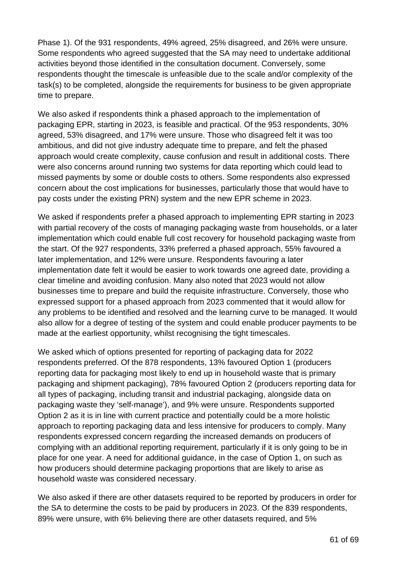Phase 1). Of the 931 respondents, 49% agreed, 25% disagreed, and 26% were unsure. Some respondents who agreed suggested that the SA may need to undertake additional activities beyond those identified in the consultation document. Conversely, some respondents thought the timescale is unfeasible due to the scale and/or complexity of the task(s) to be completed, alongside the requirements for business to be given appropriate time to prepare.

We also asked if respondents think a phased approach to the implementation of packaging EPR, starting in 2023, is feasible and practical. Of the 953 respondents, 30% agreed, 53% disagreed, and 17% were unsure. Those who disagreed felt it was too ambitious, and did not give industry adequate time to prepare, and felt the phased approach would create complexity, cause confusion and result in additional costs. There were also concerns around running two systems for data reporting which could lead to missed payments by some or double costs to others. Some respondents also expressed concern about the cost implications for businesses, particularly those that would have to pay costs under the existing PRN) system and the new EPR scheme in 2023.

We asked if respondents prefer a phased approach to implementing EPR starting in 2023 with partial recovery of the costs of managing packaging waste from households, or a later implementation which could enable full cost recovery for household packaging waste from the start. Of the 927 respondents, 33% preferred a phased approach, 55% favoured a later implementation, and 12% were unsure. Respondents favouring a later implementation date felt it would be easier to work towards one agreed date, providing a clear timeline and avoiding confusion. Many also noted that 2023 would not allow businesses time to prepare and build the requisite infrastructure. Conversely, those who expressed support for a phased approach from 2023 commented that it would allow for any problems to be identified and resolved and the learning curve to be managed. It would also allow for a degree of testing of the system and could enable producer payments to be made at the earliest opportunity, whilst recognising the tight timescales.

We asked which of options presented for reporting of packaging data for 2022 respondents preferred. Of the 878 respondents, 13% favoured Option 1 (producers reporting data for packaging most likely to end up in household waste that is primary packaging and shipment packaging), 78% favoured Option 2 (producers reporting data for all types of packaging, including transit and industrial packaging, alongside data on packaging waste they 'self-manage'), and 9% were unsure. Respondents supported Option 2 as it is in line with current practice and potentially could be a more holistic approach to reporting packaging data and less intensive for producers to comply. Many respondents expressed concern regarding the increased demands on producers of complying with an additional reporting requirement, particularly if it is only going to be in place for one year. A need for additional guidance, in the case of Option 1, on such as how producers should determine packaging proportions that are likely to arise as household waste was considered necessary.

We also asked if there are other datasets required to be reported by producers in order for the SA to determine the costs to be paid by producers in 2023. Of the 839 respondents, 89% were unsure, with 6% believing there are other datasets required, and 5%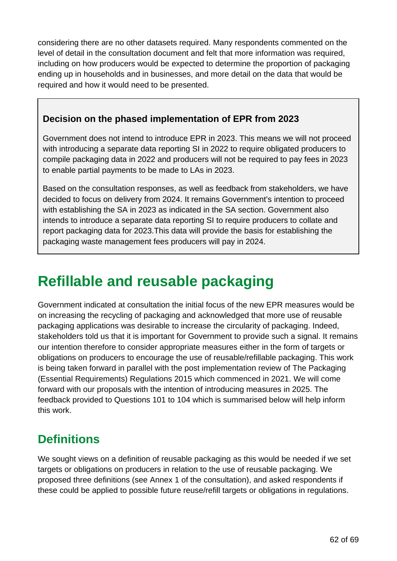considering there are no other datasets required. Many respondents commented on the level of detail in the consultation document and felt that more information was required, including on how producers would be expected to determine the proportion of packaging ending up in households and in businesses, and more detail on the data that would be required and how it would need to be presented.

#### **Decision on the phased implementation of EPR from 2023**

Government does not intend to introduce EPR in 2023. This means we will not proceed with introducing a separate data reporting SI in 2022 to require obligated producers to compile packaging data in 2022 and producers will not be required to pay fees in 2023 to enable partial payments to be made to LAs in 2023.

Based on the consultation responses, as well as feedback from stakeholders, we have decided to focus on delivery from 2024. It remains Government's intention to proceed with establishing the SA in 2023 as indicated in the SA section. Government also intends to introduce a separate data reporting SI to require producers to collate and report packaging data for 2023.This data will provide the basis for establishing the packaging waste management fees producers will pay in 2024.

# <span id="page-61-0"></span>**Refillable and reusable packaging**

Government indicated at consultation the initial focus of the new EPR measures would be on increasing the recycling of packaging and acknowledged that more use of reusable packaging applications was desirable to increase the circularity of packaging. Indeed, stakeholders told us that it is important for Government to provide such a signal. It remains our intention therefore to consider appropriate measures either in the form of targets or obligations on producers to encourage the use of reusable/refillable packaging. This work is being taken forward in parallel with the post implementation review of The Packaging (Essential Requirements) Regulations 2015 which commenced in 2021. We will come forward with our proposals with the intention of introducing measures in 2025. The feedback provided to Questions 101 to 104 which is summarised below will help inform this work.

### <span id="page-61-1"></span>**Definitions**

We sought views on a definition of reusable packaging as this would be needed if we set targets or obligations on producers in relation to the use of reusable packaging. We proposed three definitions (see Annex 1 of the consultation), and asked respondents if these could be applied to possible future reuse/refill targets or obligations in regulations.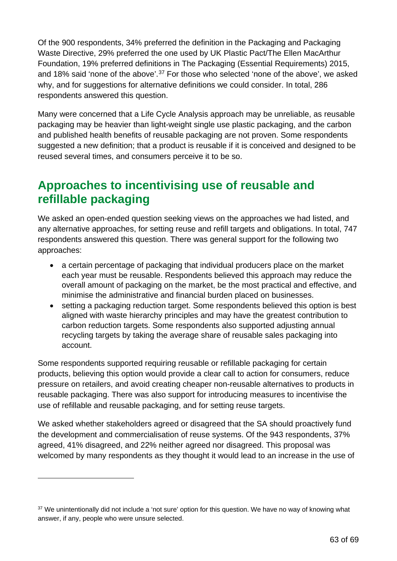Of the 900 respondents, 34% preferred the definition in the Packaging and Packaging Waste Directive, 29% preferred the one used by UK Plastic Pact/The Ellen MacArthur Foundation, 19% preferred definitions in The Packaging (Essential Requirements) 2015, and 18% said 'none of the above'.[37](#page-62-1) For those who selected 'none of the above', we asked why, and for suggestions for alternative definitions we could consider. In total, 286 respondents answered this question.

Many were concerned that a Life Cycle Analysis approach may be unreliable, as reusable packaging may be heavier than light-weight single use plastic packaging, and the carbon and published health benefits of reusable packaging are not proven. Some respondents suggested a new definition; that a product is reusable if it is conceived and designed to be reused several times, and consumers perceive it to be so.

### <span id="page-62-0"></span>**Approaches to incentivising use of reusable and refillable packaging**

We asked an open-ended question seeking views on the approaches we had listed, and any alternative approaches, for setting reuse and refill targets and obligations. In total, 747 respondents answered this question. There was general support for the following two approaches:

- a certain percentage of packaging that individual producers place on the market each year must be reusable. Respondents believed this approach may reduce the overall amount of packaging on the market, be the most practical and effective, and minimise the administrative and financial burden placed on businesses.
- setting a packaging reduction target. Some respondents believed this option is best aligned with waste hierarchy principles and may have the greatest contribution to carbon reduction targets. Some respondents also supported adjusting annual recycling targets by taking the average share of reusable sales packaging into account.

Some respondents supported requiring reusable or refillable packaging for certain products, believing this option would provide a clear call to action for consumers, reduce pressure on retailers, and avoid creating cheaper non-reusable alternatives to products in reusable packaging. There was also support for introducing measures to incentivise the use of refillable and reusable packaging, and for setting reuse targets.

We asked whether stakeholders agreed or disagreed that the SA should proactively fund the development and commercialisation of reuse systems. Of the 943 respondents, 37% agreed, 41% disagreed, and 22% neither agreed nor disagreed. This proposal was welcomed by many respondents as they thought it would lead to an increase in the use of

<span id="page-62-1"></span><sup>&</sup>lt;sup>37</sup> We unintentionally did not include a 'not sure' option for this question. We have no way of knowing what answer, if any, people who were unsure selected.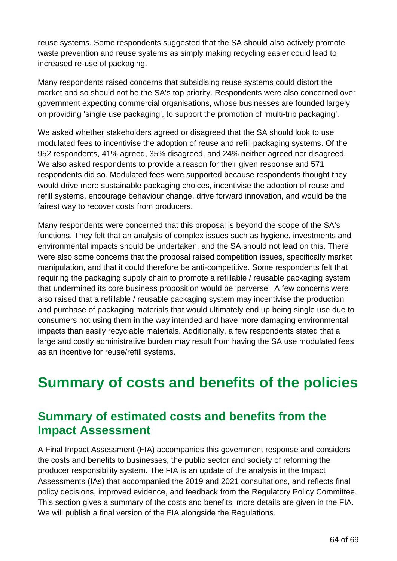reuse systems. Some respondents suggested that the SA should also actively promote waste prevention and reuse systems as simply making recycling easier could lead to increased re-use of packaging.

Many respondents raised concerns that subsidising reuse systems could distort the market and so should not be the SA's top priority. Respondents were also concerned over government expecting commercial organisations, whose businesses are founded largely on providing 'single use packaging', to support the promotion of 'multi-trip packaging'.

We asked whether stakeholders agreed or disagreed that the SA should look to use modulated fees to incentivise the adoption of reuse and refill packaging systems. Of the 952 respondents, 41% agreed, 35% disagreed, and 24% neither agreed nor disagreed. We also asked respondents to provide a reason for their given response and 571 respondents did so. Modulated fees were supported because respondents thought they would drive more sustainable packaging choices, incentivise the adoption of reuse and refill systems, encourage behaviour change, drive forward innovation, and would be the fairest way to recover costs from producers.

Many respondents were concerned that this proposal is beyond the scope of the SA's functions. They felt that an analysis of complex issues such as hygiene, investments and environmental impacts should be undertaken, and the SA should not lead on this. There were also some concerns that the proposal raised competition issues, specifically market manipulation, and that it could therefore be anti-competitive. Some respondents felt that requiring the packaging supply chain to promote a refillable / reusable packaging system that undermined its core business proposition would be 'perverse'. A few concerns were also raised that a refillable / reusable packaging system may incentivise the production and purchase of packaging materials that would ultimately end up being single use due to consumers not using them in the way intended and have more damaging environmental impacts than easily recyclable materials. Additionally, a few respondents stated that a large and costly administrative burden may result from having the SA use modulated fees as an incentive for reuse/refill systems.

# <span id="page-63-0"></span>**Summary of costs and benefits of the policies**

### <span id="page-63-1"></span>**Summary of estimated costs and benefits from the Impact Assessment**

A Final Impact Assessment (FIA) accompanies this government response and considers the costs and benefits to businesses, the public sector and society of reforming the producer responsibility system. The FIA is an update of the analysis in the Impact Assessments (IAs) that accompanied the 2019 and 2021 consultations, and reflects final policy decisions, improved evidence, and feedback from the Regulatory Policy Committee. This section gives a summary of the costs and benefits; more details are given in the FIA. We will publish a final version of the FIA alongside the Regulations.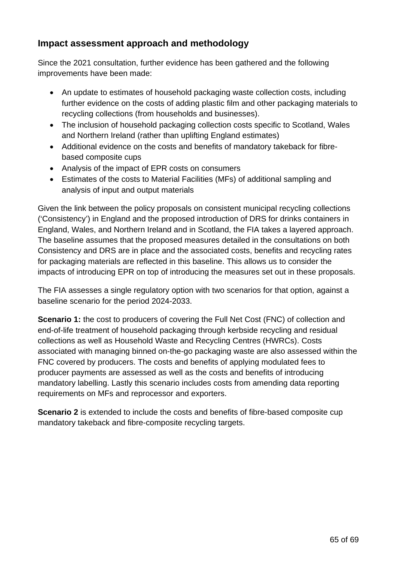#### **Impact assessment approach and methodology**

Since the 2021 consultation, further evidence has been gathered and the following improvements have been made:

- An update to estimates of household packaging waste collection costs, including further evidence on the costs of adding plastic film and other packaging materials to recycling collections (from households and businesses).
- The inclusion of household packaging collection costs specific to Scotland, Wales and Northern Ireland (rather than uplifting England estimates)
- Additional evidence on the costs and benefits of mandatory takeback for fibrebased composite cups
- Analysis of the impact of EPR costs on consumers
- Estimates of the costs to Material Facilities (MFs) of additional sampling and analysis of input and output materials

Given the link between the policy proposals on consistent municipal recycling collections ('Consistency') in England and the proposed introduction of DRS for drinks containers in England, Wales, and Northern Ireland and in Scotland, the FIA takes a layered approach. The baseline assumes that the proposed measures detailed in the consultations on both Consistency and DRS are in place and the associated costs, benefits and recycling rates for packaging materials are reflected in this baseline. This allows us to consider the impacts of introducing EPR on top of introducing the measures set out in these proposals.

The FIA assesses a single regulatory option with two scenarios for that option, against a baseline scenario for the period 2024-2033.

**Scenario** 1: the cost to producers of covering the Full Net Cost (FNC) of collection and end-of-life treatment of household packaging through kerbside recycling and residual collections as well as Household Waste and Recycling Centres (HWRCs). Costs associated with managing binned on-the-go packaging waste are also assessed within the FNC covered by producers. The costs and benefits of applying modulated fees to producer payments are assessed as well as the costs and benefits of introducing mandatory labelling. Lastly this scenario includes costs from amending data reporting requirements on MFs and reprocessor and exporters.

**Scenario 2** is extended to include the costs and benefits of fibre-based composite cup mandatory takeback and fibre-composite recycling targets.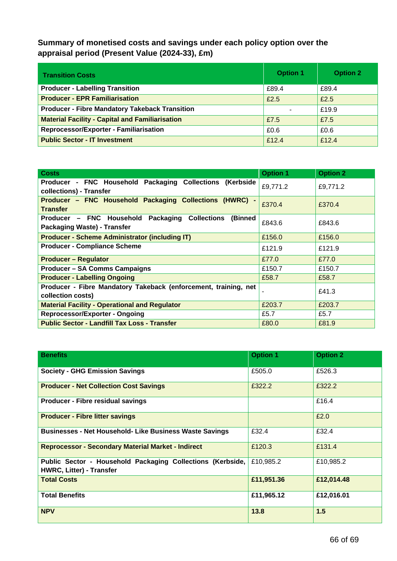**Summary of monetised costs and savings under each policy option over the appraisal period (Present Value (2024-33), £m)**

| <b>Transition Costs</b>                                | <b>Option 1</b> | <b>Option 2</b> |
|--------------------------------------------------------|-----------------|-----------------|
| <b>Producer - Labelling Transition</b>                 | £89.4           | £89.4           |
| <b>Producer - EPR Familiarisation</b>                  | £2.5            | £2.5            |
| <b>Producer - Fibre Mandatory Takeback Transition</b>  |                 | £19.9           |
| <b>Material Facility - Capital and Familiarisation</b> | £7.5            | £7.5            |
| Reprocessor/Exporter - Familiarisation                 | £0.6            | £0.6            |
| <b>Public Sector - IT Investment</b>                   | £12.4           | £12.4           |

| <b>Costs</b>                                                                                    | <b>Option 1</b> | <b>Option 2</b> |
|-------------------------------------------------------------------------------------------------|-----------------|-----------------|
| Producer - FNC Household Packaging Collections (Kerbside<br>collections) - Transfer             | £9,771.2        | £9,771.2        |
| Producer - FNC Household Packaging Collections (HWRC) -<br><b>Transfer</b>                      | £370.4          | £370.4          |
| Producer - FNC Household Packaging Collections<br>(Binned<br><b>Packaging Waste) - Transfer</b> | £843.6          | £843.6          |
| <b>Producer - Scheme Administrator (including IT)</b>                                           | £156.0          | £156.0          |
| <b>Producer - Compliance Scheme</b>                                                             | £121.9          | £121.9          |
| <b>Producer - Regulator</b>                                                                     | £77.0           | £77.0           |
| <b>Producer - SA Comms Campaigns</b>                                                            | £150.7          | £150.7          |
| <b>Producer - Labelling Ongoing</b>                                                             | £58.7           | £58.7           |
| Producer - Fibre Mandatory Takeback (enforcement, training, net<br>collection costs)            |                 | £41.3           |
| <b>Material Facility - Operational and Regulator</b>                                            | £203.7          | £203.7          |
| <b>Reprocessor/Exporter - Ongoing</b>                                                           | £5.7            | £5.7            |
| <b>Public Sector - Landfill Tax Loss - Transfer</b>                                             | £80.0           | £81.9           |

| <b>Benefits</b>                                                                               | <b>Option 1</b> | <b>Option 2</b> |
|-----------------------------------------------------------------------------------------------|-----------------|-----------------|
| <b>Society - GHG Emission Savings</b>                                                         | £505.0          | £526.3          |
| <b>Producer - Net Collection Cost Savings</b>                                                 | £322.2          | £322.2          |
| <b>Producer - Fibre residual savings</b>                                                      |                 | £16.4           |
| <b>Producer - Fibre litter savings</b>                                                        |                 | £2.0            |
| <b>Businesses - Net Household- Like Business Waste Savings</b>                                | £32.4           | £32.4           |
| <b>Reprocessor - Secondary Material Market - Indirect</b>                                     | £120.3          | £131.4          |
| Public Sector - Household Packaging Collections (Kerbside,<br><b>HWRC, Litter) - Transfer</b> | £10,985.2       | £10,985.2       |
| <b>Total Costs</b>                                                                            | £11,951.36      | £12,014.48      |
| <b>Total Benefits</b>                                                                         | £11,965.12      | £12,016.01      |
| <b>NPV</b>                                                                                    | 13.8            | 1.5             |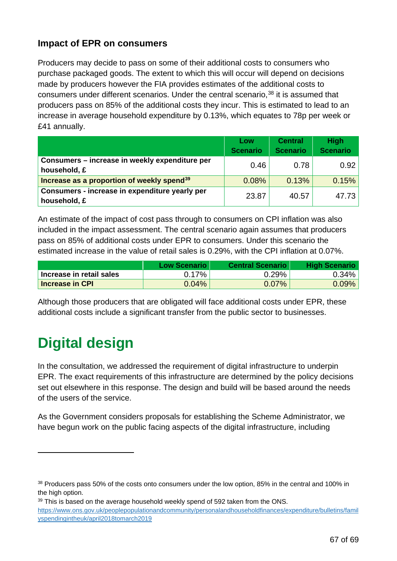#### **Impact of EPR on consumers**

Producers may decide to pass on some of their additional costs to consumers who purchase packaged goods. The extent to which this will occur will depend on decisions made by producers however the FIA provides estimates of the additional costs to consumers under different scenarios. Under the central scenario, [38](#page-66-1) it is assumed that producers pass on 85% of the additional costs they incur. This is estimated to lead to an increase in average household expenditure by 0.13%, which equates to 78p per week or £41 annually.

|                                                                | Low<br><b>Scenario</b> | <b>Central</b><br><b>Scenario</b> | <b>High</b><br><b>Scenario</b> |
|----------------------------------------------------------------|------------------------|-----------------------------------|--------------------------------|
| Consumers - increase in weekly expenditure per<br>household, £ | 0.46                   | 0.78                              | 0.92                           |
| Increase as a proportion of weekly spend <sup>39</sup>         | 0.08%                  | 0.13%                             | 0.15%                          |
| Consumers - increase in expenditure yearly per<br>household, £ | 23.87                  | 40.57                             | 47.73                          |

An estimate of the impact of cost pass through to consumers on CPI inflation was also included in the impact assessment. The central scenario again assumes that producers pass on 85% of additional costs under EPR to consumers. Under this scenario the estimated increase in the value of retail sales is 0.29%, with the CPI inflation at 0.07%.

|                          | Low Scenario | <b>Central Scenario</b> | <b>High Scenario</b> |
|--------------------------|--------------|-------------------------|----------------------|
| Increase in retail sales | $0.17\%$     | 0.29%                   | $0.34\%$             |
| <b>Increase in CPI</b>   | 0.04%        | $0.07\%$                | $0.09\%$ $ $         |

Although those producers that are obligated will face additional costs under EPR, these additional costs include a significant transfer from the public sector to businesses.

# <span id="page-66-0"></span>**Digital design**

In the consultation, we addressed the requirement of digital infrastructure to underpin EPR. The exact requirements of this infrastructure are determined by the policy decisions set out elsewhere in this response. The design and build will be based around the needs of the users of the service.

As the Government considers proposals for establishing the Scheme Administrator, we have begun work on the public facing aspects of the digital infrastructure, including

<span id="page-66-2"></span><sup>39</sup> This is based on the average household weekly spend of 592 taken from the ONS. [https://www.ons.gov.uk/peoplepopulationandcommunity/personalandhouseholdfinances/expenditure/bulletins/famil](https://www.ons.gov.uk/peoplepopulationandcommunity/personalandhouseholdfinances/expenditure/bulletins/familyspendingintheuk/april2018tomarch2019) [yspendingintheuk/april2018tomarch2019](https://www.ons.gov.uk/peoplepopulationandcommunity/personalandhouseholdfinances/expenditure/bulletins/familyspendingintheuk/april2018tomarch2019)

<span id="page-66-1"></span><sup>38</sup> Producers pass 50% of the costs onto consumers under the low option, 85% in the central and 100% in the high option.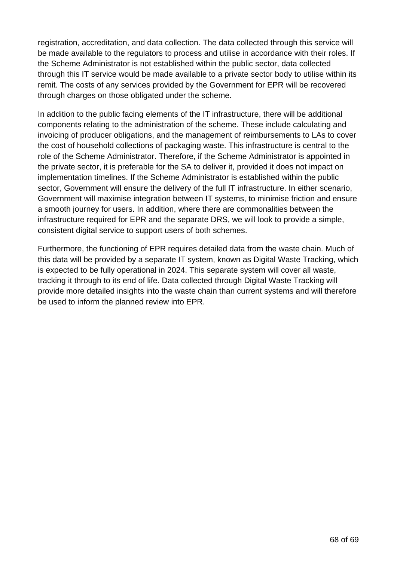registration, accreditation, and data collection. The data collected through this service will be made available to the regulators to process and utilise in accordance with their roles. If the Scheme Administrator is not established within the public sector, data collected through this IT service would be made available to a private sector body to utilise within its remit. The costs of any services provided by the Government for EPR will be recovered through charges on those obligated under the scheme.

In addition to the public facing elements of the IT infrastructure, there will be additional components relating to the administration of the scheme. These include calculating and invoicing of producer obligations, and the management of reimbursements to LAs to cover the cost of household collections of packaging waste. This infrastructure is central to the role of the Scheme Administrator. Therefore, if the Scheme Administrator is appointed in the private sector, it is preferable for the SA to deliver it, provided it does not impact on implementation timelines. If the Scheme Administrator is established within the public sector, Government will ensure the delivery of the full IT infrastructure. In either scenario, Government will maximise integration between IT systems, to minimise friction and ensure a smooth journey for users. In addition, where there are commonalities between the infrastructure required for EPR and the separate DRS, we will look to provide a simple, consistent digital service to support users of both schemes.

Furthermore, the functioning of EPR requires detailed data from the waste chain. Much of this data will be provided by a separate IT system, known as Digital Waste Tracking, which is expected to be fully operational in 2024. This separate system will cover all waste, tracking it through to its end of life. Data collected through Digital Waste Tracking will provide more detailed insights into the waste chain than current systems and will therefore be used to inform the planned review into EPR.